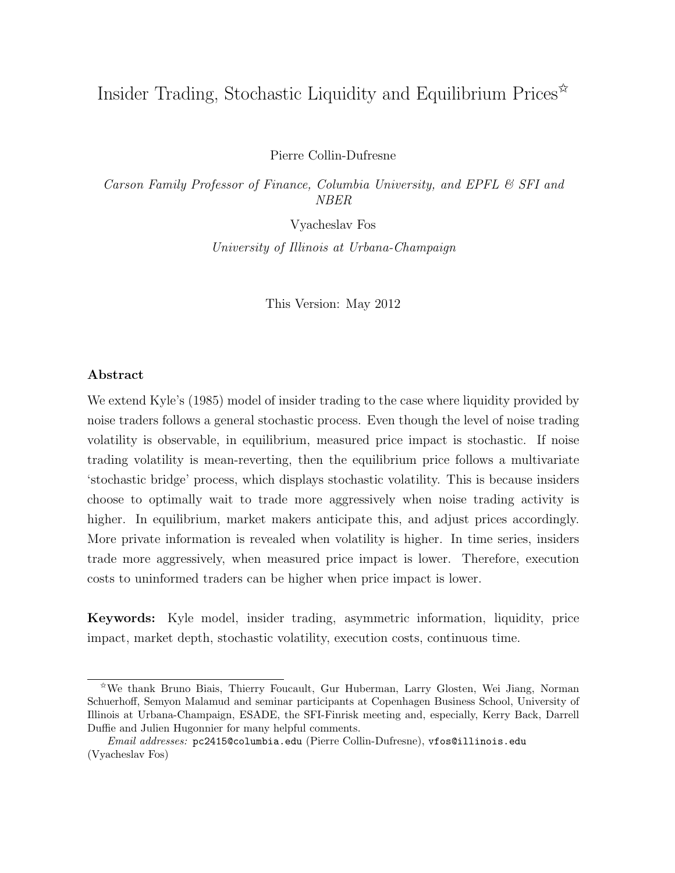# Insider Trading, Stochastic Liquidity and Equilibrium Prices<sup> $\hat{\mathbf{x}}$ </sup>

Pierre Collin-Dufresne

Carson Family Professor of Finance, Columbia University, and EPFL & SFI and NBER

Vyacheslav Fos

University of Illinois at Urbana-Champaign

This Version: May 2012

# Abstract

We extend Kyle's (1985) model of insider trading to the case where liquidity provided by noise traders follows a general stochastic process. Even though the level of noise trading volatility is observable, in equilibrium, measured price impact is stochastic. If noise trading volatility is mean-reverting, then the equilibrium price follows a multivariate 'stochastic bridge' process, which displays stochastic volatility. This is because insiders choose to optimally wait to trade more aggressively when noise trading activity is higher. In equilibrium, market makers anticipate this, and adjust prices accordingly. More private information is revealed when volatility is higher. In time series, insiders trade more aggressively, when measured price impact is lower. Therefore, execution costs to uninformed traders can be higher when price impact is lower.

Keywords: Kyle model, insider trading, asymmetric information, liquidity, price impact, market depth, stochastic volatility, execution costs, continuous time.

<sup>✩</sup>We thank Bruno Biais, Thierry Foucault, Gur Huberman, Larry Glosten, Wei Jiang, Norman Schuerhoff, Semyon Malamud and seminar participants at Copenhagen Business School, University of Illinois at Urbana-Champaign, ESADE, the SFI-Finrisk meeting and, especially, Kerry Back, Darrell Duffie and Julien Hugonnier for many helpful comments.

Email addresses: pc2415@columbia.edu (Pierre Collin-Dufresne), vfos@illinois.edu (Vyacheslav Fos)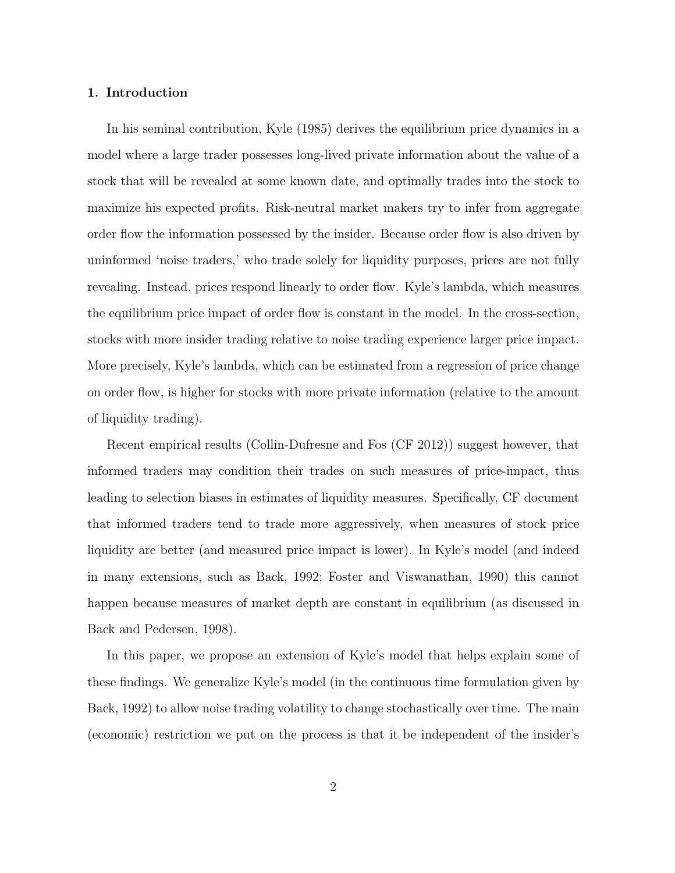# 1. Introduction

In his seminal contribution, Kyle (1985) derives the equilibrium price dynamics in a model where a large trader possesses long-lived private information about the value of a stock that will be revealed at some known date, and optimally trades into the stock to maximize his expected profits. Risk-neutral market makers try to infer from aggregate order flow the information possessed by the insider. Because order flow is also driven by uninformed 'noise traders,' who trade solely for liquidity purposes, prices are not fully revealing. Instead, prices respond linearly to order flow. Kyle's lambda, which measures the equilibrium price impact of order flow is constant in the model. In the cross-section, stocks with more insider trading relative to noise trading experience larger price impact. More precisely, Kyle's lambda, which can be estimated from a regression of price change on order flow, is higher for stocks with more private information (relative to the amount of liquidity trading).

Recent empirical results (Collin-Dufresne and Fos (CF 2012)) suggest however, that informed traders may condition their trades on such measures of price-impact, thus leading to selection biases in estimates of liquidity measures. Specifically, CF document that informed traders tend to trade more aggressively, when measures of stock price liquidity are better (and measured price impact is lower). In Kyle's model (and indeed in many extensions, such as Back, 1992; Foster and Viswanathan, 1990) this cannot happen because measures of market depth are constant in equilibrium (as discussed in Back and Pedersen, 1998).

In this paper, we propose an extension of Kyle's model that helps explain some of these findings. We generalize Kyle's model (in the continuous time formulation given by Back, 1992) to allow noise trading volatility to change stochastically over time. The main (economic) restriction we put on the process is that it be independent of the insider's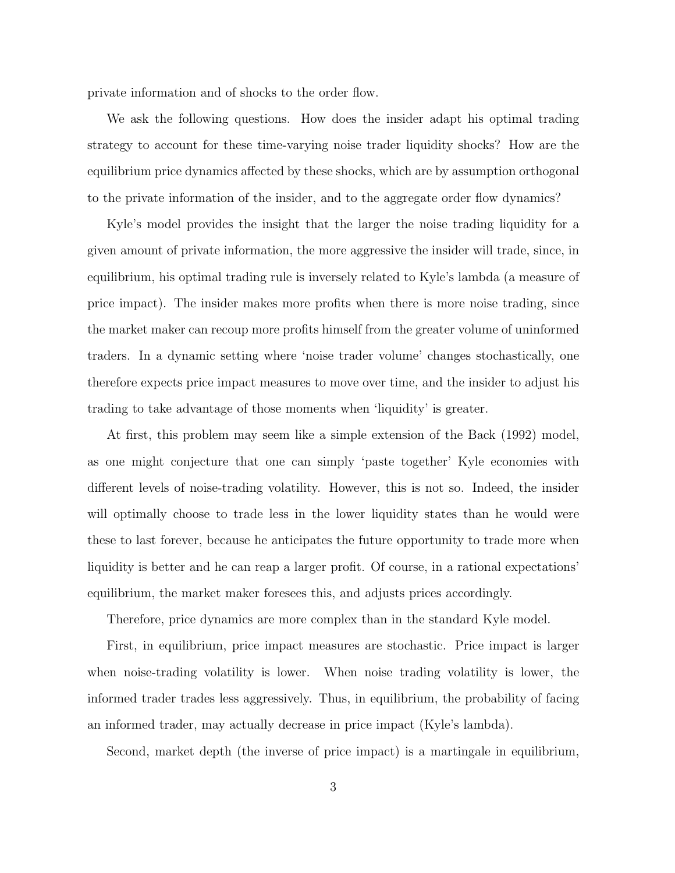private information and of shocks to the order flow.

We ask the following questions. How does the insider adapt his optimal trading strategy to account for these time-varying noise trader liquidity shocks? How are the equilibrium price dynamics affected by these shocks, which are by assumption orthogonal to the private information of the insider, and to the aggregate order flow dynamics?

Kyle's model provides the insight that the larger the noise trading liquidity for a given amount of private information, the more aggressive the insider will trade, since, in equilibrium, his optimal trading rule is inversely related to Kyle's lambda (a measure of price impact). The insider makes more profits when there is more noise trading, since the market maker can recoup more profits himself from the greater volume of uninformed traders. In a dynamic setting where 'noise trader volume' changes stochastically, one therefore expects price impact measures to move over time, and the insider to adjust his trading to take advantage of those moments when 'liquidity' is greater.

At first, this problem may seem like a simple extension of the Back (1992) model, as one might conjecture that one can simply 'paste together' Kyle economies with different levels of noise-trading volatility. However, this is not so. Indeed, the insider will optimally choose to trade less in the lower liquidity states than he would were these to last forever, because he anticipates the future opportunity to trade more when liquidity is better and he can reap a larger profit. Of course, in a rational expectations' equilibrium, the market maker foresees this, and adjusts prices accordingly.

Therefore, price dynamics are more complex than in the standard Kyle model.

First, in equilibrium, price impact measures are stochastic. Price impact is larger when noise-trading volatility is lower. When noise trading volatility is lower, the informed trader trades less aggressively. Thus, in equilibrium, the probability of facing an informed trader, may actually decrease in price impact (Kyle's lambda).

Second, market depth (the inverse of price impact) is a martingale in equilibrium,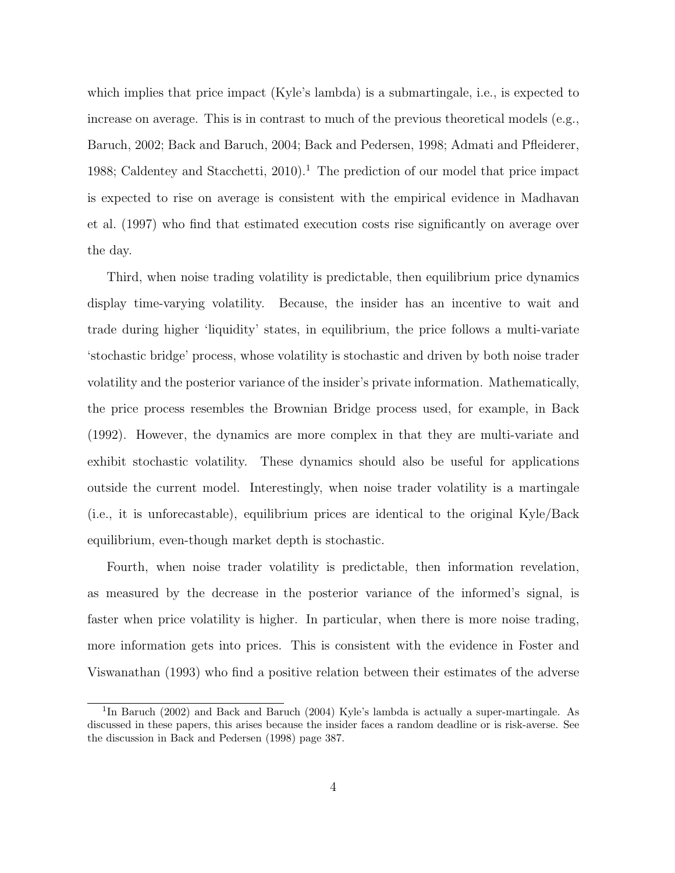which implies that price impact (Kyle's lambda) is a submartingale, i.e., is expected to increase on average. This is in contrast to much of the previous theoretical models (e.g., Baruch, 2002; Back and Baruch, 2004; Back and Pedersen, 1998; Admati and Pfleiderer, 1988; Caldentey and Stacchetti,  $2010$ <sup>1</sup>. The prediction of our model that price impact is expected to rise on average is consistent with the empirical evidence in Madhavan et al. (1997) who find that estimated execution costs rise significantly on average over the day.

Third, when noise trading volatility is predictable, then equilibrium price dynamics display time-varying volatility. Because, the insider has an incentive to wait and trade during higher 'liquidity' states, in equilibrium, the price follows a multi-variate 'stochastic bridge' process, whose volatility is stochastic and driven by both noise trader volatility and the posterior variance of the insider's private information. Mathematically, the price process resembles the Brownian Bridge process used, for example, in Back (1992). However, the dynamics are more complex in that they are multi-variate and exhibit stochastic volatility. These dynamics should also be useful for applications outside the current model. Interestingly, when noise trader volatility is a martingale (i.e., it is unforecastable), equilibrium prices are identical to the original Kyle/Back equilibrium, even-though market depth is stochastic.

Fourth, when noise trader volatility is predictable, then information revelation, as measured by the decrease in the posterior variance of the informed's signal, is faster when price volatility is higher. In particular, when there is more noise trading, more information gets into prices. This is consistent with the evidence in Foster and Viswanathan (1993) who find a positive relation between their estimates of the adverse

<sup>&</sup>lt;sup>1</sup>In Baruch (2002) and Back and Baruch (2004) Kyle's lambda is actually a super-martingale. As discussed in these papers, this arises because the insider faces a random deadline or is risk-averse. See the discussion in Back and Pedersen (1998) page 387.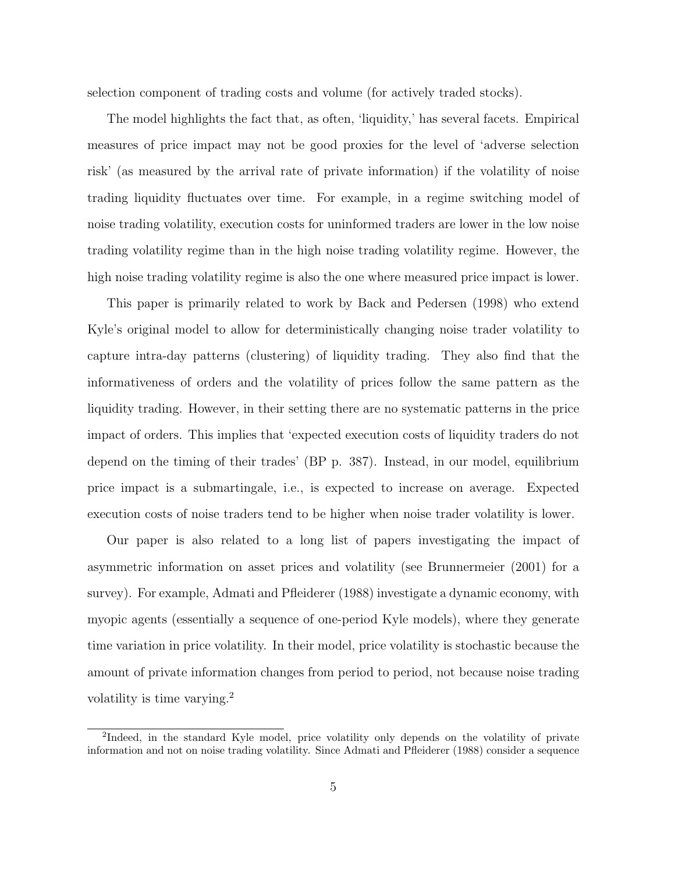selection component of trading costs and volume (for actively traded stocks).

The model highlights the fact that, as often, 'liquidity,' has several facets. Empirical measures of price impact may not be good proxies for the level of 'adverse selection risk' (as measured by the arrival rate of private information) if the volatility of noise trading liquidity fluctuates over time. For example, in a regime switching model of noise trading volatility, execution costs for uninformed traders are lower in the low noise trading volatility regime than in the high noise trading volatility regime. However, the high noise trading volatility regime is also the one where measured price impact is lower.

This paper is primarily related to work by Back and Pedersen (1998) who extend Kyle's original model to allow for deterministically changing noise trader volatility to capture intra-day patterns (clustering) of liquidity trading. They also find that the informativeness of orders and the volatility of prices follow the same pattern as the liquidity trading. However, in their setting there are no systematic patterns in the price impact of orders. This implies that 'expected execution costs of liquidity traders do not depend on the timing of their trades' (BP p. 387). Instead, in our model, equilibrium price impact is a submartingale, i.e., is expected to increase on average. Expected execution costs of noise traders tend to be higher when noise trader volatility is lower.

Our paper is also related to a long list of papers investigating the impact of asymmetric information on asset prices and volatility (see Brunnermeier (2001) for a survey). For example, Admati and Pfleiderer (1988) investigate a dynamic economy, with myopic agents (essentially a sequence of one-period Kyle models), where they generate time variation in price volatility. In their model, price volatility is stochastic because the amount of private information changes from period to period, not because noise trading volatility is time varying.<sup>2</sup>

<sup>&</sup>lt;sup>2</sup>Indeed, in the standard Kyle model, price volatility only depends on the volatility of private information and not on noise trading volatility. Since Admati and Pfleiderer (1988) consider a sequence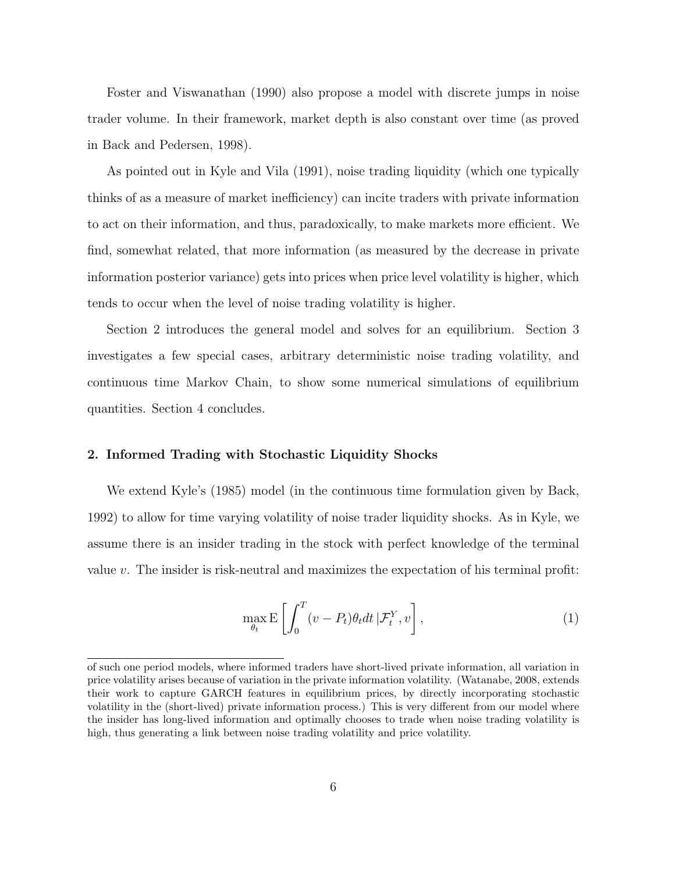Foster and Viswanathan (1990) also propose a model with discrete jumps in noise trader volume. In their framework, market depth is also constant over time (as proved in Back and Pedersen, 1998).

As pointed out in Kyle and Vila (1991), noise trading liquidity (which one typically thinks of as a measure of market inefficiency) can incite traders with private information to act on their information, and thus, paradoxically, to make markets more efficient. We find, somewhat related, that more information (as measured by the decrease in private information posterior variance) gets into prices when price level volatility is higher, which tends to occur when the level of noise trading volatility is higher.

Section 2 introduces the general model and solves for an equilibrium. Section 3 investigates a few special cases, arbitrary deterministic noise trading volatility, and continuous time Markov Chain, to show some numerical simulations of equilibrium quantities. Section 4 concludes.

# 2. Informed Trading with Stochastic Liquidity Shocks

We extend Kyle's (1985) model (in the continuous time formulation given by Back, 1992) to allow for time varying volatility of noise trader liquidity shocks. As in Kyle, we assume there is an insider trading in the stock with perfect knowledge of the terminal value v. The insider is risk-neutral and maximizes the expectation of his terminal profit:

$$
\max_{\theta_t} \mathbf{E} \left[ \int_0^T (v - P_t) \theta_t dt \, | \mathcal{F}_t^Y, v \right],\tag{1}
$$

of such one period models, where informed traders have short-lived private information, all variation in price volatility arises because of variation in the private information volatility. (Watanabe, 2008, extends their work to capture GARCH features in equilibrium prices, by directly incorporating stochastic volatility in the (short-lived) private information process.) This is very different from our model where the insider has long-lived information and optimally chooses to trade when noise trading volatility is high, thus generating a link between noise trading volatility and price volatility.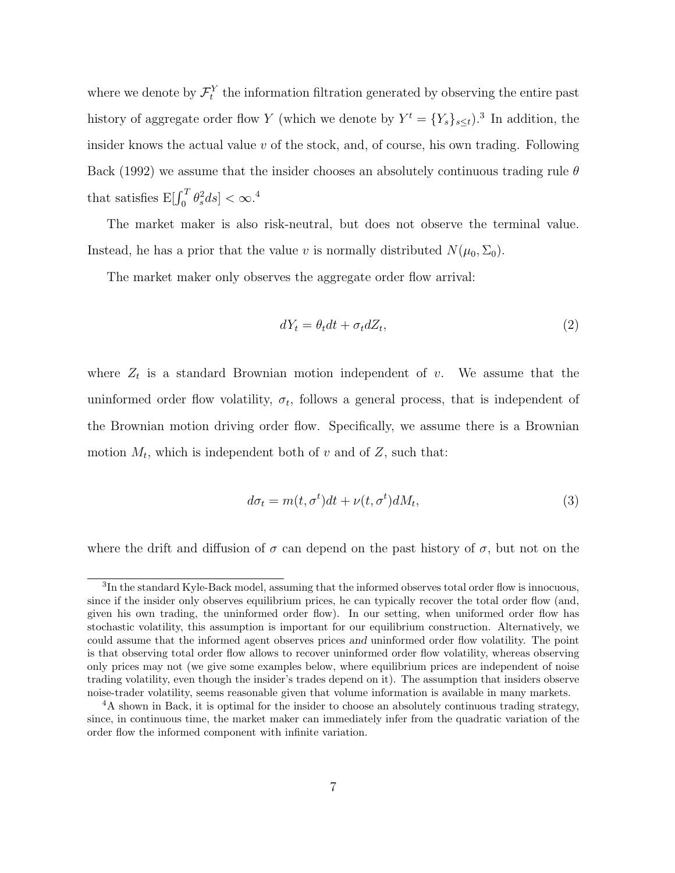where we denote by  $\mathcal{F}_t^Y$  the information filtration generated by observing the entire past history of aggregate order flow Y (which we denote by  $Y^t = \{Y_s\}_{s \leq t}$ ).<sup>3</sup> In addition, the insider knows the actual value  $v$  of the stock, and, of course, his own trading. Following Back (1992) we assume that the insider chooses an absolutely continuous trading rule  $\theta$ that satisfies  $E[\int_0^T \theta_s^2 ds] < \infty.^4$ 

The market maker is also risk-neutral, but does not observe the terminal value. Instead, he has a prior that the value v is normally distributed  $N(\mu_0, \Sigma_0)$ .

The market maker only observes the aggregate order flow arrival:

$$
dY_t = \theta_t dt + \sigma_t dZ_t, \qquad (2)
$$

where  $Z_t$  is a standard Brownian motion independent of v. We assume that the uninformed order flow volatility,  $\sigma_t$ , follows a general process, that is independent of the Brownian motion driving order flow. Specifically, we assume there is a Brownian motion  $M_t$ , which is independent both of v and of Z, such that:

$$
d\sigma_t = m(t, \sigma^t)dt + \nu(t, \sigma^t)dM_t,
$$
\n(3)

where the drift and diffusion of  $\sigma$  can depend on the past history of  $\sigma$ , but not on the

<sup>&</sup>lt;sup>3</sup>In the standard Kyle-Back model, assuming that the informed observes total order flow is innocuous, since if the insider only observes equilibrium prices, he can typically recover the total order flow (and, given his own trading, the uninformed order flow). In our setting, when uniformed order flow has stochastic volatility, this assumption is important for our equilibrium construction. Alternatively, we could assume that the informed agent observes prices and uninformed order flow volatility. The point is that observing total order flow allows to recover uninformed order flow volatility, whereas observing only prices may not (we give some examples below, where equilibrium prices are independent of noise trading volatility, even though the insider's trades depend on it). The assumption that insiders observe noise-trader volatility, seems reasonable given that volume information is available in many markets.

<sup>&</sup>lt;sup>4</sup>A shown in Back, it is optimal for the insider to choose an absolutely continuous trading strategy, since, in continuous time, the market maker can immediately infer from the quadratic variation of the order flow the informed component with infinite variation.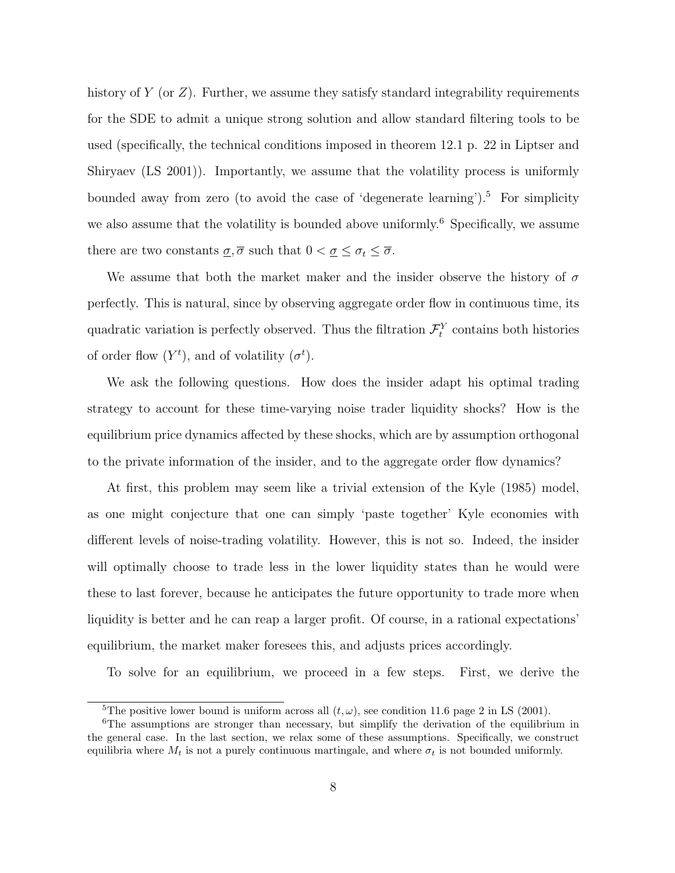history of Y (or  $Z$ ). Further, we assume they satisfy standard integrability requirements for the SDE to admit a unique strong solution and allow standard filtering tools to be used (specifically, the technical conditions imposed in theorem 12.1 p. 22 in Liptser and Shiryaev (LS 2001)). Importantly, we assume that the volatility process is uniformly bounded away from zero (to avoid the case of 'degenerate learning').<sup>5</sup> For simplicity we also assume that the volatility is bounded above uniformly.<sup>6</sup> Specifically, we assume there are two constants  $\underline{\sigma}, \overline{\sigma}$  such that  $0 < \underline{\sigma} \leq \sigma_t \leq \overline{\sigma}$ .

We assume that both the market maker and the insider observe the history of  $\sigma$ perfectly. This is natural, since by observing aggregate order flow in continuous time, its quadratic variation is perfectly observed. Thus the filtration  $\mathcal{F}^Y_t$  contains both histories of order flow  $(Y^t)$ , and of volatility  $(\sigma^t)$ .

We ask the following questions. How does the insider adapt his optimal trading strategy to account for these time-varying noise trader liquidity shocks? How is the equilibrium price dynamics affected by these shocks, which are by assumption orthogonal to the private information of the insider, and to the aggregate order flow dynamics?

At first, this problem may seem like a trivial extension of the Kyle (1985) model, as one might conjecture that one can simply 'paste together' Kyle economies with different levels of noise-trading volatility. However, this is not so. Indeed, the insider will optimally choose to trade less in the lower liquidity states than he would were these to last forever, because he anticipates the future opportunity to trade more when liquidity is better and he can reap a larger profit. Of course, in a rational expectations' equilibrium, the market maker foresees this, and adjusts prices accordingly.

To solve for an equilibrium, we proceed in a few steps. First, we derive the

<sup>&</sup>lt;sup>5</sup>The positive lower bound is uniform across all  $(t, \omega)$ , see condition 11.6 page 2 in LS (2001).

<sup>&</sup>lt;sup>6</sup>The assumptions are stronger than necessary, but simplify the derivation of the equilibrium in the general case. In the last section, we relax some of these assumptions. Specifically, we construct equilibria where  $M_t$  is not a purely continuous martingale, and where  $\sigma_t$  is not bounded uniformly.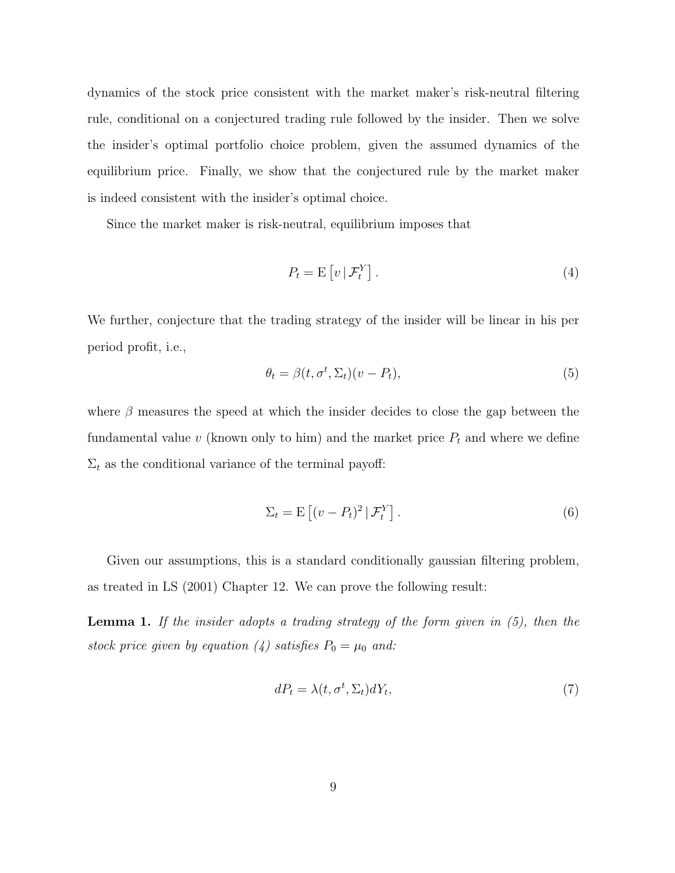dynamics of the stock price consistent with the market maker's risk-neutral filtering rule, conditional on a conjectured trading rule followed by the insider. Then we solve the insider's optimal portfolio choice problem, given the assumed dynamics of the equilibrium price. Finally, we show that the conjectured rule by the market maker is indeed consistent with the insider's optimal choice.

Since the market maker is risk-neutral, equilibrium imposes that

$$
P_t = \mathcal{E}\left[v \,|\, \mathcal{F}_t^Y\right].\tag{4}
$$

We further, conjecture that the trading strategy of the insider will be linear in his per period profit, i.e.,

$$
\theta_t = \beta(t, \sigma^t, \Sigma_t)(v - P_t),\tag{5}
$$

where  $\beta$  measures the speed at which the insider decides to close the gap between the fundamental value  $v$  (known only to him) and the market price  $P_t$  and where we define  $\Sigma_t$  as the conditional variance of the terminal payoff:

$$
\Sigma_t = \mathcal{E}\left[ (v - P_t)^2 \, | \, \mathcal{F}_t^Y \right].\tag{6}
$$

Given our assumptions, this is a standard conditionally gaussian filtering problem, as treated in LS (2001) Chapter 12. We can prove the following result:

**Lemma 1.** If the insider adopts a trading strategy of the form given in  $(5)$ , then the stock price given by equation (4) satisfies  $P_0 = \mu_0$  and:

$$
dP_t = \lambda(t, \sigma^t, \Sigma_t) dY_t,\tag{7}
$$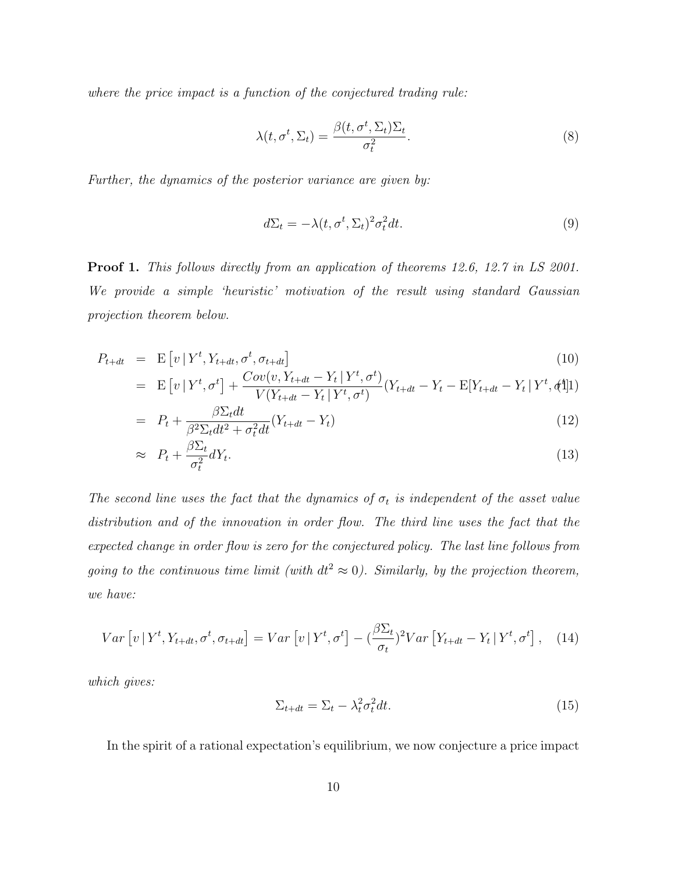where the price impact is a function of the conjectured trading rule:

$$
\lambda(t, \sigma^t, \Sigma_t) = \frac{\beta(t, \sigma^t, \Sigma_t) \Sigma_t}{\sigma_t^2}.
$$
\n(8)

Further, the dynamics of the posterior variance are given by:

$$
d\Sigma_t = -\lambda(t, \sigma^t, \Sigma_t)^2 \sigma_t^2 dt. \tag{9}
$$

Proof 1. This follows directly from an application of theorems 12.6, 12.7 in LS 2001. We provide a simple 'heuristic' motivation of the result using standard Gaussian projection theorem below.

$$
P_{t+dt} = \mathbf{E}\left[v \mid Y^t, Y_{t+dt}, \sigma^t, \sigma_{t+dt}\right]
$$
\n
$$
= \mathbf{E}\left[v \mid Y^t, Y_{t+dt}, \sigma^t, \sigma_{t+dt}\right]
$$
\n
$$
= \mathbf{C}ov(v, Y_{t+dt} - Y_t) \mathbf{Y}^t, \sigma^t) \mathbf{Y} = \mathbf{E}[V] \mathbf{Y} \mathbf{Y} \mathbf{Y}^t, \mathbf{Y}^t \mathbf{Y}^t, \mathbf{Y}^t]
$$
\n
$$
= \mathbf{E}\left[v \mid Y^t, Y_{t+dt}, \sigma^t, \sigma_{t+dt}\right]
$$
\n
$$
= \mathbf{C}ov(v, Y_{t+dt} - Y_t) \mathbf{Y}^t, \sigma^t) \mathbf{Y} \mathbf{Y} \mathbf{Y}^t, \mathbf{Y}^t \mathbf{Y}^t, \mathbf{Y}^t \mathbf{Y}^t, \mathbf{Y}^t \mathbf{Y}^t, \mathbf{Y}^t \mathbf{Y}^t, \mathbf{Y}^t \mathbf{Y}^t, \mathbf{Y}^t \mathbf{Y}^t, \mathbf{Y}^t \mathbf{Y}^t, \mathbf{Y}^t \mathbf{Y}^t, \mathbf{Y}^t \mathbf{Y}^t, \mathbf{Y}^t \mathbf{Y}^t, \mathbf{Y}^t \mathbf{Y}^t, \mathbf{Y}^t \mathbf{Y}^t, \mathbf{Y}^t \mathbf{Y}^t, \mathbf{Y}^t \mathbf{Y}^t, \mathbf{Y}^t \mathbf{Y}^t, \mathbf{Y}^t \mathbf{Y}^t, \mathbf{Y}^t \mathbf{Y}^t, \mathbf{Y}^t \mathbf{Y}^t, \mathbf{Y}^t \mathbf{Y}^t, \mathbf{Y}^t \mathbf{Y}^t, \mathbf{Y}^t \mathbf{Y}^t, \mathbf{Y}^t \mathbf{Y}^t, \mathbf{Y}^t \mathbf{Y}^t, \mathbf{Y}^t \mathbf{Y}^t, \mathbf{Y}^t \mathbf{Y}^t, \mathbf{Y}^t \mathbf{Y}^t, \mathbf{Y}^t \mathbf{Y}^t, \math
$$

$$
= \mathbb{E}\left[v\left|Y^t,\sigma^t\right.\right] + \frac{Cov(v, t_{t+dt} - t_t | Y^t, \sigma^t)}{V(Y_{t+dt} - Y_t | Y^t, \sigma^t)}(Y_{t+dt} - Y_t - \mathbb{E}[Y_{t+dt} - Y_t | Y^t, \phi^t])
$$

$$
= P_t + \frac{\beta \Sigma_t dt}{\beta^2 \Sigma_t dt^2 + \sigma_t^2 dt} (Y_{t+dt} - Y_t)
$$
\n(12)

$$
\approx P_t + \frac{\beta \Sigma_t}{\sigma_t^2} dY_t. \tag{13}
$$

The second line uses the fact that the dynamics of  $\sigma_t$  is independent of the asset value distribution and of the innovation in order flow. The third line uses the fact that the expected change in order flow is zero for the conjectured policy. The last line follows from going to the continuous time limit (with  $dt^2 \approx 0$ ). Similarly, by the projection theorem, we have:

$$
Var\left[v\left|Y^t, Y_{t+dt}, \sigma^t, \sigma_{t+dt}\right.\right] = Var\left[v\left|Y^t, \sigma^t\right.\right] - \left(\frac{\beta \Sigma_t}{\sigma_t}\right)^2 Var\left[Y_{t+dt} - Y_t\left|Y^t, \sigma^t\right.\right],\tag{14}
$$

which gives:

$$
\Sigma_{t+dt} = \Sigma_t - \lambda_t^2 \sigma_t^2 dt. \tag{15}
$$

In the spirit of a rational expectation's equilibrium, we now conjecture a price impact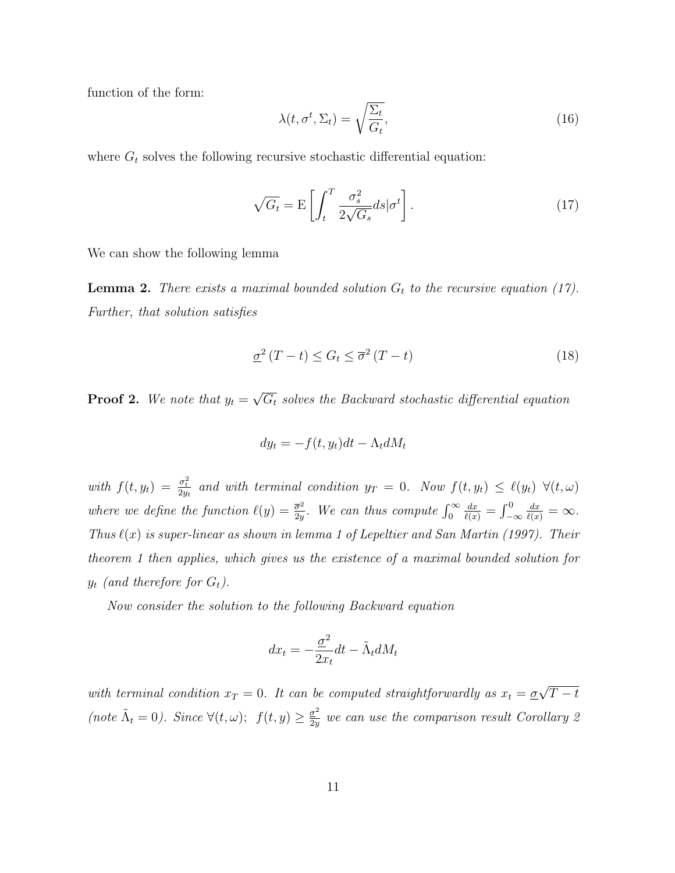function of the form:

$$
\lambda(t, \sigma^t, \Sigma_t) = \sqrt{\frac{\Sigma_t}{G_t}},\tag{16}
$$

where  $G_t$  solves the following recursive stochastic differential equation:

$$
\sqrt{G_t} = \mathcal{E} \left[ \int_t^T \frac{\sigma_s^2}{2\sqrt{G_s}} ds | \sigma^t \right]. \tag{17}
$$

We can show the following lemma

**Lemma 2.** There exists a maximal bounded solution  $G_t$  to the recursive equation (17). Further, that solution satisfies

$$
\underline{\sigma}^2 (T - t) \le G_t \le \overline{\sigma}^2 (T - t) \tag{18}
$$

**Proof 2.** We note that  $y_t =$ √  $\overline{G_t}$  solves the Backward stochastic differential equation

$$
dy_t = -f(t, y_t)dt - \Lambda_t dM_t
$$

with  $f(t, y_t) = \frac{\sigma_t^2}{2y_t}$  and with terminal condition  $y_T = 0$ . Now  $f(t, y_t) \leq \ell(y_t) \ \forall (t, \omega)$ where we define the function  $\ell(y) = \frac{\overline{\sigma}^2}{2y}$  $\frac{\overline{\sigma}^2}{2y}$ . We can thus compute  $\int_0^\infty$  $\frac{dx}{\ell(x)} = \int_{-\infty}^{0}$  $\frac{dx}{\ell(x)} = \infty.$ Thus  $\ell(x)$  is super-linear as shown in lemma 1 of Lepeltier and San Martin (1997). Their theorem 1 then applies, which gives us the existence of a maximal bounded solution for  $y_t$  (and therefore for  $G_t$ ).

Now consider the solution to the following Backward equation

$$
dx_t = -\frac{\underline{\sigma}^2}{2x_t}dt - \tilde{\Lambda}_t dM_t
$$

with terminal condition  $x_T = 0$ . It can be computed straightforwardly as  $x_t = \underline{\sigma}$ √  $T - t$ (note  $\tilde{\Lambda}_t = 0$ ). Since  $\forall (t, \omega); f(t, y) \geq \frac{\sigma^2}{2n}$  $\frac{\sigma^2}{2y}$  we can use the comparison result Corollary 2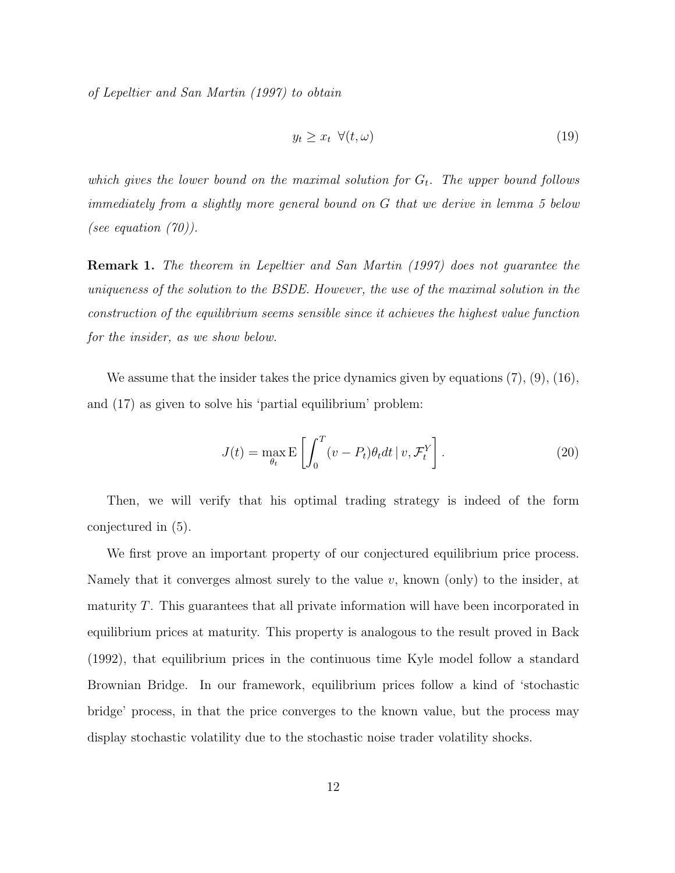of Lepeltier and San Martin (1997) to obtain

$$
y_t \ge x_t \ \forall (t, \omega) \tag{19}
$$

which gives the lower bound on the maximal solution for  $G_t$ . The upper bound follows immediately from a slightly more general bound on G that we derive in lemma 5 below (see equation  $(70)$ ).

Remark 1. The theorem in Lepeltier and San Martin (1997) does not guarantee the uniqueness of the solution to the BSDE. However, the use of the maximal solution in the construction of the equilibrium seems sensible since it achieves the highest value function for the insider, as we show below.

We assume that the insider takes the price dynamics given by equations  $(7), (9), (16),$ and (17) as given to solve his 'partial equilibrium' problem:

$$
J(t) = \max_{\theta_t} \mathbb{E}\left[\int_0^T (v - P_t)\theta_t dt \, | \, v, \mathcal{F}_t^Y\right].\tag{20}
$$

Then, we will verify that his optimal trading strategy is indeed of the form conjectured in (5).

We first prove an important property of our conjectured equilibrium price process. Namely that it converges almost surely to the value  $v$ , known (only) to the insider, at maturity  $T$ . This guarantees that all private information will have been incorporated in equilibrium prices at maturity. This property is analogous to the result proved in Back (1992), that equilibrium prices in the continuous time Kyle model follow a standard Brownian Bridge. In our framework, equilibrium prices follow a kind of 'stochastic bridge' process, in that the price converges to the known value, but the process may display stochastic volatility due to the stochastic noise trader volatility shocks.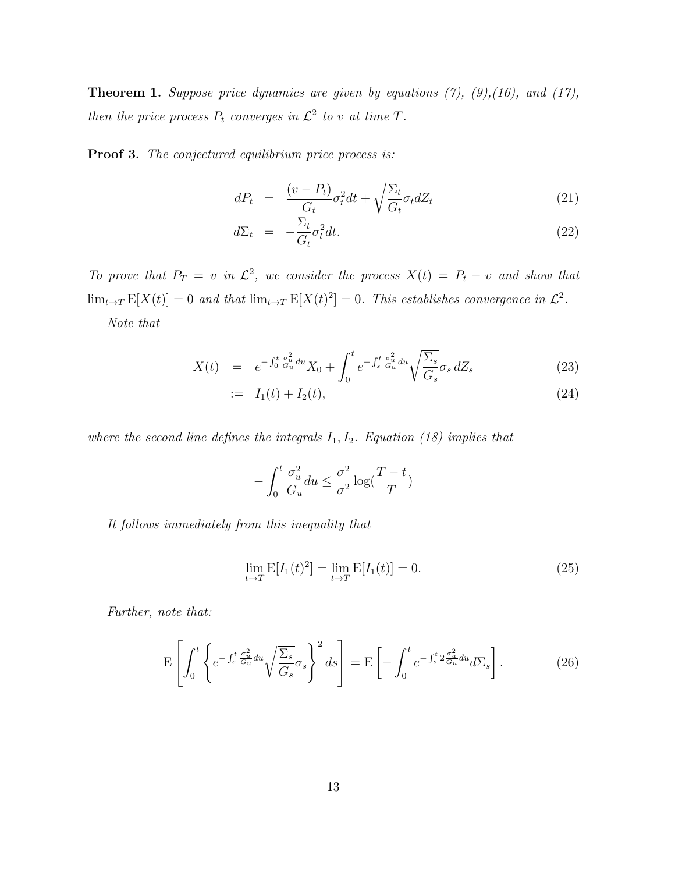**Theorem 1.** Suppose price dynamics are given by equations  $(7)$ ,  $(9)$ ,  $(16)$ , and  $(17)$ , then the price process  $P_t$  converges in  $\mathcal{L}^2$  to v at time T.

Proof 3. The conjectured equilibrium price process is:

$$
dP_t = \frac{(v - P_t)}{G_t} \sigma_t^2 dt + \sqrt{\frac{\Sigma_t}{G_t}} \sigma_t dZ_t \tag{21}
$$

$$
d\Sigma_t = -\frac{\Sigma_t}{G_t} \sigma_t^2 dt. \tag{22}
$$

To prove that  $P_T = v$  in  $\mathcal{L}^2$ , we consider the process  $X(t) = P_t - v$  and show that  $\lim_{t\to T} \mathbb{E}[X(t)] = 0$  and that  $\lim_{t\to T} \mathbb{E}[X(t)^2] = 0$ . This establishes convergence in  $\mathcal{L}^2$ .

Note that

$$
X(t) = e^{-\int_0^t \frac{\sigma_u^2}{G_u} du} X_0 + \int_0^t e^{-\int_s^t \frac{\sigma_u^2}{G_u} du} \sqrt{\frac{\Sigma_s}{G_s}} \sigma_s dZ_s \tag{23}
$$

$$
:= I_1(t) + I_2(t), \tag{24}
$$

where the second line defines the integrals  $I_1, I_2$ . Equation (18) implies that

$$
-\int_0^t \frac{\sigma_u^2}{G_u} du \le \frac{\underline{\sigma}^2}{\overline{\sigma}^2} \log(\frac{T-t}{T})
$$

It follows immediately from this inequality that

$$
\lim_{t \to T} E[I_1(t)^2] = \lim_{t \to T} E[I_1(t)] = 0.
$$
\n(25)

Further, note that:

$$
\mathcal{E}\left[\int_0^t \left\{ e^{-\int_s^t \frac{\sigma_u^2}{G_u} du} \sqrt{\frac{\Sigma_s}{G_s}} \sigma_s \right\}^2 ds \right] = \mathcal{E}\left[-\int_0^t e^{-\int_s^t 2\frac{\sigma_u^2}{G_u} du} d\Sigma_s\right].
$$
 (26)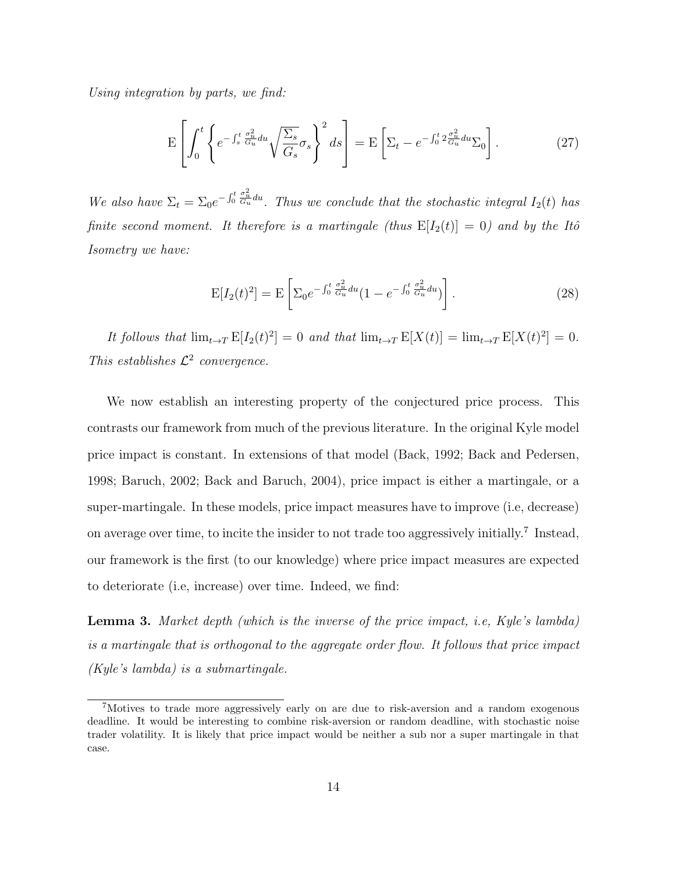Using integration by parts, we find:

$$
\mathcal{E}\left[\int_0^t \left\{ e^{-\int_s^t \frac{\sigma_u^2}{G_u} du} \sqrt{\frac{\Sigma_s}{G_s}} \sigma_s \right\}^2 ds \right] = \mathcal{E}\left[\Sigma_t - e^{-\int_0^t 2\frac{\sigma_u^2}{G_u} du} \Sigma_0\right].
$$
 (27)

We also have  $\Sigma_t = \Sigma_0 e^{-\int_0^t \frac{\sigma_u^2}{G_u} du}$ . Thus we conclude that the stochastic integral  $I_2(t)$  has finite second moment. It therefore is a martingale (thus  $E[I_2(t)] = 0$ ) and by the Itô Isometry we have:

$$
E[I_2(t)^2] = E\left[\sum_0 e^{-\int_0^t \frac{\sigma_u^2}{G_u} du} (1 - e^{-\int_0^t \frac{\sigma_u^2}{G_u} du})\right].
$$
\n(28)

It follows that  $\lim_{t\to T} E[I_2(t)^2] = 0$  and that  $\lim_{t\to T} E[X(t)] = \lim_{t\to T} E[X(t)^2] = 0$ . This establishes  $\mathcal{L}^2$  convergence.

We now establish an interesting property of the conjectured price process. This contrasts our framework from much of the previous literature. In the original Kyle model price impact is constant. In extensions of that model (Back, 1992; Back and Pedersen, 1998; Baruch, 2002; Back and Baruch, 2004), price impact is either a martingale, or a super-martingale. In these models, price impact measures have to improve (i.e, decrease) on average over time, to incite the insider to not trade too aggressively initially.<sup>7</sup> Instead, our framework is the first (to our knowledge) where price impact measures are expected to deteriorate (i.e, increase) over time. Indeed, we find:

**Lemma 3.** Market depth (which is the inverse of the price impact, i.e, Kyle's lambda) is a martingale that is orthogonal to the aggregate order flow. It follows that price impact (Kyle's lambda) is a submartingale.

<sup>7</sup>Motives to trade more aggressively early on are due to risk-aversion and a random exogenous deadline. It would be interesting to combine risk-aversion or random deadline, with stochastic noise trader volatility. It is likely that price impact would be neither a sub nor a super martingale in that case.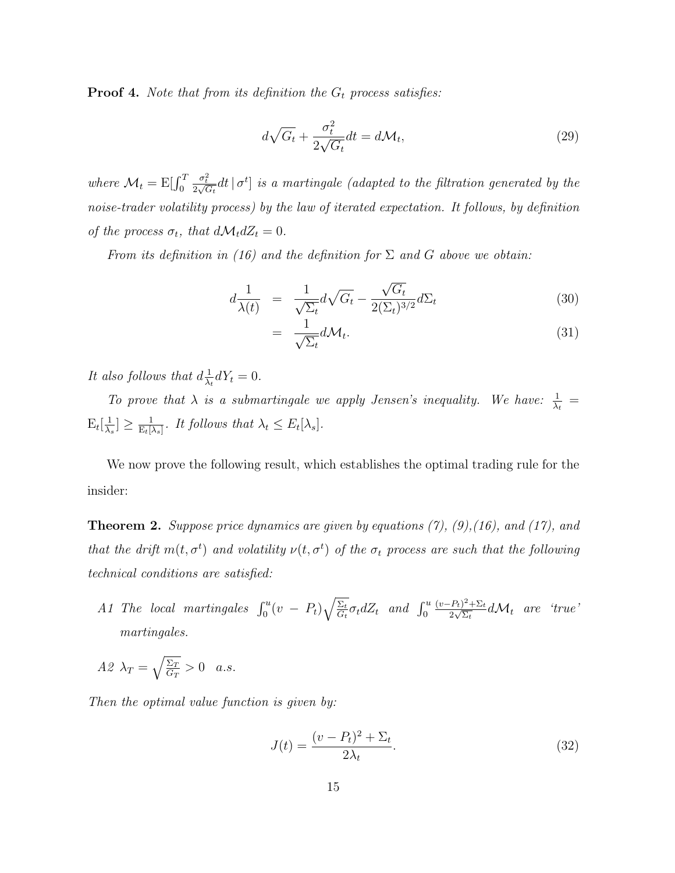**Proof 4.** Note that from its definition the  $G_t$  process satisfies:

$$
d\sqrt{G_t} + \frac{\sigma_t^2}{2\sqrt{G_t}} dt = d\mathcal{M}_t,
$$
\n(29)

where  $\mathcal{M}_t = \mathrm{E}[\int_0^T$  $\frac{\sigma_t^2}{2\sqrt{G_t}}dt\,|\,\sigma^t]$  is a martingale (adapted to the filtration generated by the noise-trader volatility process) by the law of iterated expectation. It follows, by definition of the process  $\sigma_t$ , that  $d\mathcal{M}_t dZ_t = 0$ .

From its definition in (16) and the definition for  $\Sigma$  and G above we obtain:

$$
d\frac{1}{\lambda(t)} = \frac{1}{\sqrt{\Sigma_t}} d\sqrt{G_t} - \frac{\sqrt{G_t}}{2(\Sigma_t)^{3/2}} d\Sigma_t
$$
\n(30)

$$
= \frac{1}{\sqrt{\Sigma_t}} d\mathcal{M}_t. \tag{31}
$$

It also follows that  $d\frac{1}{\lambda}$  $\frac{1}{\lambda_t} dY_t = 0.$ 

To prove that  $\lambda$  is a submartingale we apply Jensen's inequality. We have:  $\frac{1}{\lambda_t}$  =  $E_t[\frac{1}{\lambda}]$  $\frac{1}{\lambda_s}]\geq \frac{1}{\mathrm{E}_t[\lambda_s]}$  $\frac{1}{\mathrm{E}_t[\lambda_s]}$ . It follows that  $\lambda_t \leq E_t[\lambda_s]$ .

We now prove the following result, which establishes the optimal trading rule for the insider:

**Theorem 2.** Suppose price dynamics are given by equations  $(7)$ ,  $(9)$ ,  $(16)$ , and  $(17)$ , and that the drift  $m(t, \sigma^t)$  and volatility  $\nu(t, \sigma^t)$  of the  $\sigma_t$  process are such that the following technical conditions are satisfied:

A1 The local martingales  $\int_0^u (v - P_t) \sqrt{\frac{\Sigma_t}{G_t}}$  $\frac{\Sigma_t}{G_t}\sigma_t dZ_t$  and  $\int_0^u$  $(v-P_t)^2 + \Sigma_t$  $\frac{d^2F_t^2 + \Sigma_t}{2\sqrt{\Sigma_t}} d\mathcal{M}_t$  are 'true' martingales.

$$
A\mathcal{Z}\ \lambda_T=\sqrt{\tfrac{\Sigma_T}{G_T}}>0\quad a.s.
$$

Then the optimal value function is given by:

$$
J(t) = \frac{(v - P_t)^2 + \Sigma_t}{2\lambda_t}.
$$
\n
$$
(32)
$$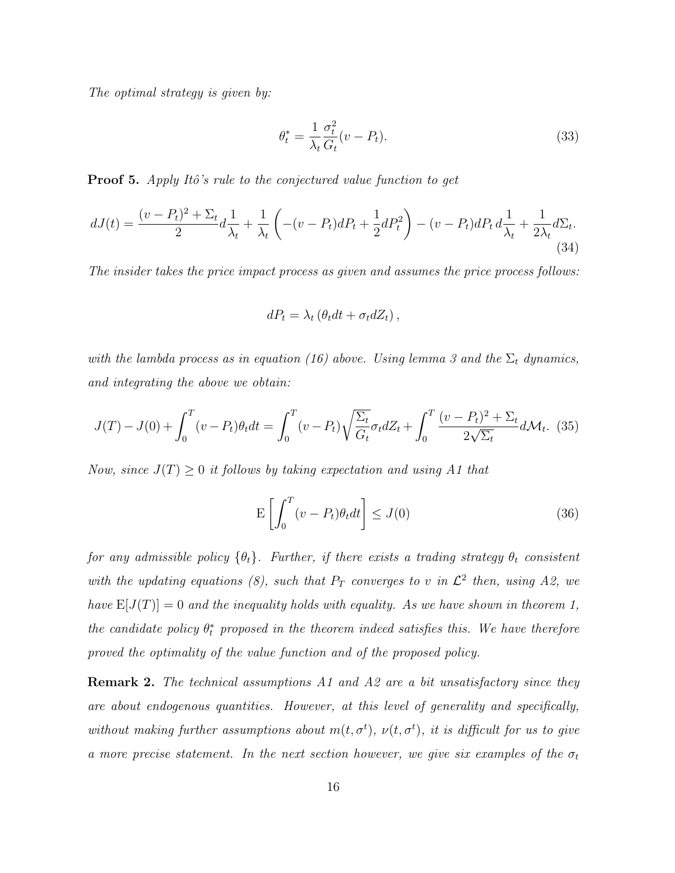The optimal strategy is given by:

$$
\theta_t^* = \frac{1}{\lambda_t} \frac{\sigma_t^2}{G_t} (v - P_t). \tag{33}
$$

**Proof 5.** Apply Itô's rule to the conjectured value function to get

$$
dJ(t) = \frac{(v - P_t)^2 + \Sigma_t}{2} d\frac{1}{\lambda_t} + \frac{1}{\lambda_t} \left( -(v - P_t) dP_t + \frac{1}{2} dP_t^2 \right) - (v - P_t) dP_t d\frac{1}{\lambda_t} + \frac{1}{2\lambda_t} d\Sigma_t.
$$
\n(34)

The insider takes the price impact process as given and assumes the price process follows:

$$
dP_t = \lambda_t \left( \theta_t dt + \sigma_t dZ_t \right),
$$

with the lambda process as in equation (16) above. Using lemma 3 and the  $\Sigma_t$  dynamics, and integrating the above we obtain:

$$
J(T) - J(0) + \int_0^T (v - P_t) \theta_t dt = \int_0^T (v - P_t) \sqrt{\frac{\Sigma_t}{G_t}} \sigma_t dZ_t + \int_0^T \frac{(v - P_t)^2 + \Sigma_t}{2\sqrt{\Sigma_t}} d\mathcal{M}_t.
$$
 (35)

Now, since  $J(T) \geq 0$  it follows by taking expectation and using A1 that

$$
\mathcal{E}\left[\int_0^T (v - P_t)\theta_t dt\right] \le J(0)
$$
\n(36)

for any admissible policy  $\{\theta_t\}$ . Further, if there exists a trading strategy  $\theta_t$  consistent with the updating equations (8), such that  $P_T$  converges to v in  $\mathcal{L}^2$  then, using A2, we have  $E[J(T)] = 0$  and the inequality holds with equality. As we have shown in theorem 1, the candidate policy  $\theta_t^*$  proposed in the theorem indeed satisfies this. We have therefore proved the optimality of the value function and of the proposed policy.

**Remark 2.** The technical assumptions A1 and A2 are a bit unsatisfactory since they are about endogenous quantities. However, at this level of generality and specifically, without making further assumptions about  $m(t, \sigma^t)$ ,  $\nu(t, \sigma^t)$ , it is difficult for us to give a more precise statement. In the next section however, we give six examples of the  $\sigma_t$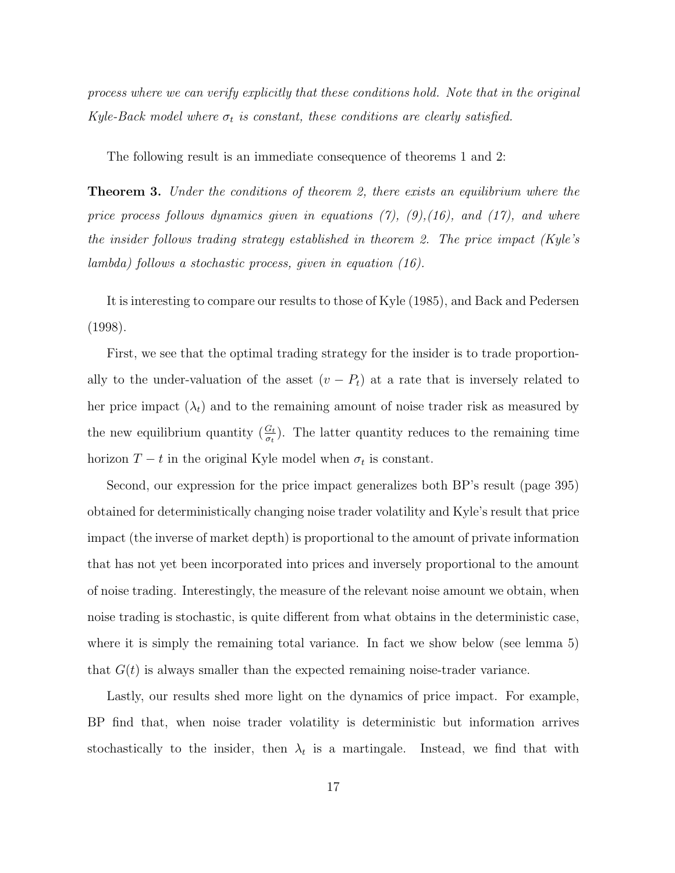process where we can verify explicitly that these conditions hold. Note that in the original Kyle-Back model where  $\sigma_t$  is constant, these conditions are clearly satisfied.

The following result is an immediate consequence of theorems 1 and 2:

**Theorem 3.** Under the conditions of theorem 2, there exists an equilibrium where the price process follows dynamics given in equations  $(7)$ ,  $(9)$ ,  $(16)$ , and  $(17)$ , and where the insider follows trading strategy established in theorem 2. The price impact (Kyle's lambda) follows a stochastic process, given in equation (16).

It is interesting to compare our results to those of Kyle (1985), and Back and Pedersen (1998).

First, we see that the optimal trading strategy for the insider is to trade proportionally to the under-valuation of the asset  $(v - P_t)$  at a rate that is inversely related to her price impact  $(\lambda_t)$  and to the remaining amount of noise trader risk as measured by the new equilibrium quantity  $(\frac{G_t}{\sigma_t})$ . The latter quantity reduces to the remaining time horizon  $T - t$  in the original Kyle model when  $\sigma_t$  is constant.

Second, our expression for the price impact generalizes both BP's result (page 395) obtained for deterministically changing noise trader volatility and Kyle's result that price impact (the inverse of market depth) is proportional to the amount of private information that has not yet been incorporated into prices and inversely proportional to the amount of noise trading. Interestingly, the measure of the relevant noise amount we obtain, when noise trading is stochastic, is quite different from what obtains in the deterministic case, where it is simply the remaining total variance. In fact we show below (see lemma 5) that  $G(t)$  is always smaller than the expected remaining noise-trader variance.

Lastly, our results shed more light on the dynamics of price impact. For example, BP find that, when noise trader volatility is deterministic but information arrives stochastically to the insider, then  $\lambda_t$  is a martingale. Instead, we find that with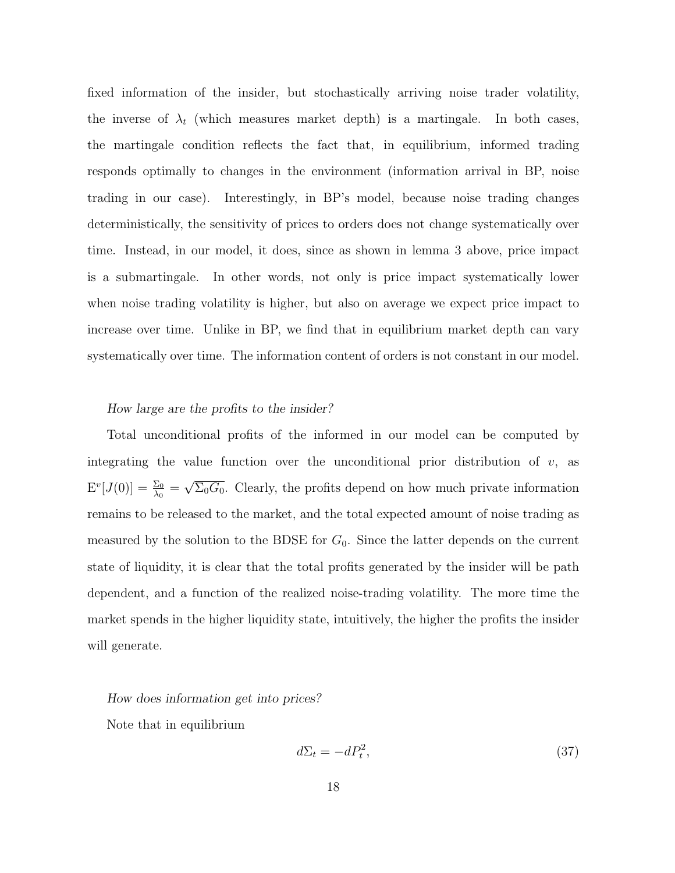fixed information of the insider, but stochastically arriving noise trader volatility, the inverse of  $\lambda_t$  (which measures market depth) is a martingale. In both cases, the martingale condition reflects the fact that, in equilibrium, informed trading responds optimally to changes in the environment (information arrival in BP, noise trading in our case). Interestingly, in BP's model, because noise trading changes deterministically, the sensitivity of prices to orders does not change systematically over time. Instead, in our model, it does, since as shown in lemma 3 above, price impact is a submartingale. In other words, not only is price impact systematically lower when noise trading volatility is higher, but also on average we expect price impact to increase over time. Unlike in BP, we find that in equilibrium market depth can vary systematically over time. The information content of orders is not constant in our model.

# How large are the profits to the insider?

Total unconditional profits of the informed in our model can be computed by integrating the value function over the unconditional prior distribution of  $v$ , as  $\mathrm{E}^v[J(0)]=\frac{\Sigma_0}{\lambda_0}=$ √  $\overline{\Sigma_0 G_0}$ . Clearly, the profits depend on how much private information remains to be released to the market, and the total expected amount of noise trading as measured by the solution to the BDSE for  $G_0$ . Since the latter depends on the current state of liquidity, it is clear that the total profits generated by the insider will be path dependent, and a function of the realized noise-trading volatility. The more time the market spends in the higher liquidity state, intuitively, the higher the profits the insider will generate.

#### How does information get into prices?

Note that in equilibrium

$$
d\Sigma_t = -dP_t^2,\tag{37}
$$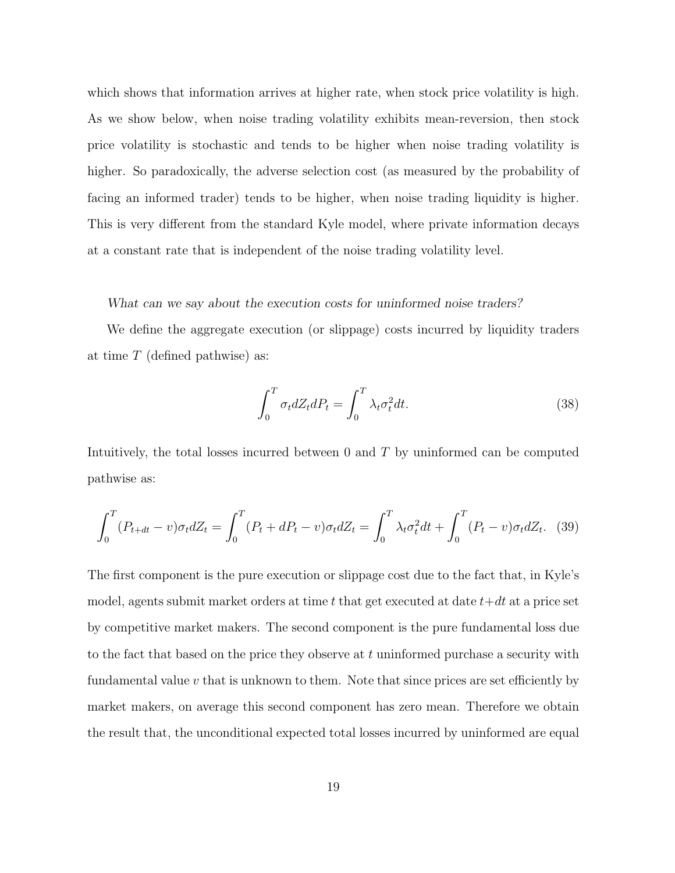which shows that information arrives at higher rate, when stock price volatility is high. As we show below, when noise trading volatility exhibits mean-reversion, then stock price volatility is stochastic and tends to be higher when noise trading volatility is higher. So paradoxically, the adverse selection cost (as measured by the probability of facing an informed trader) tends to be higher, when noise trading liquidity is higher. This is very different from the standard Kyle model, where private information decays at a constant rate that is independent of the noise trading volatility level.

# What can we say about the execution costs for uninformed noise traders?

We define the aggregate execution (or slippage) costs incurred by liquidity traders at time  $T$  (defined pathwise) as:

$$
\int_0^T \sigma_t dZ_t dP_t = \int_0^T \lambda_t \sigma_t^2 dt.
$$
\n(38)

Intuitively, the total losses incurred between 0 and T by uninformed can be computed pathwise as:

$$
\int_0^T (P_{t+dt} - v)\sigma_t dZ_t = \int_0^T (P_t + dP_t - v)\sigma_t dZ_t = \int_0^T \lambda_t \sigma_t^2 dt + \int_0^T (P_t - v)\sigma_t dZ_t.
$$
 (39)

The first component is the pure execution or slippage cost due to the fact that, in Kyle's model, agents submit market orders at time t that get executed at date  $t+dt$  at a price set by competitive market makers. The second component is the pure fundamental loss due to the fact that based on the price they observe at  $t$  uninformed purchase a security with fundamental value  $v$  that is unknown to them. Note that since prices are set efficiently by market makers, on average this second component has zero mean. Therefore we obtain the result that, the unconditional expected total losses incurred by uninformed are equal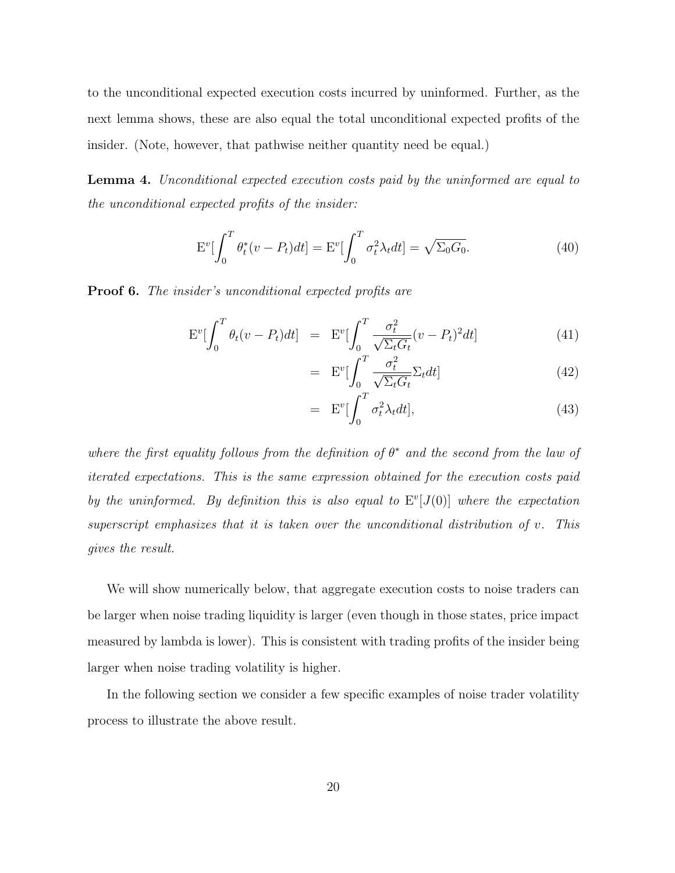to the unconditional expected execution costs incurred by uninformed. Further, as the next lemma shows, these are also equal the total unconditional expected profits of the insider. (Note, however, that pathwise neither quantity need be equal.)

Lemma 4. Unconditional expected execution costs paid by the uninformed are equal to the unconditional expected profits of the insider:

$$
\mathcal{E}^v[\int_0^T \theta_t^*(v - P_t)dt] = \mathcal{E}^v[\int_0^T \sigma_t^2 \lambda_t dt] = \sqrt{\Sigma_0 G_0}.
$$
 (40)

**Proof 6.** The insider's unconditional expected profits are

$$
\mathcal{E}^v \left[ \int_0^T \theta_t (v - P_t) dt \right] = \mathcal{E}^v \left[ \int_0^T \frac{\sigma_t^2}{\sqrt{\Sigma_t G_t}} (v - P_t)^2 dt \right] \tag{41}
$$

$$
= \mathbf{E}^v \left[ \int_0^T \frac{\sigma_t^2}{\sqrt{\Sigma_t G_t}} \Sigma_t dt \right]
$$
 (42)

$$
= \mathbf{E}^v \left[ \int_0^T \sigma_t^2 \lambda_t dt \right], \tag{43}
$$

where the first equality follows from the definition of  $\theta^*$  and the second from the law of iterated expectations. This is the same expression obtained for the execution costs paid by the uninformed. By definition this is also equal to  $E^v[J(0)]$  where the expectation superscript emphasizes that it is taken over the unconditional distribution of v. This gives the result.

We will show numerically below, that aggregate execution costs to noise traders can be larger when noise trading liquidity is larger (even though in those states, price impact measured by lambda is lower). This is consistent with trading profits of the insider being larger when noise trading volatility is higher.

In the following section we consider a few specific examples of noise trader volatility process to illustrate the above result.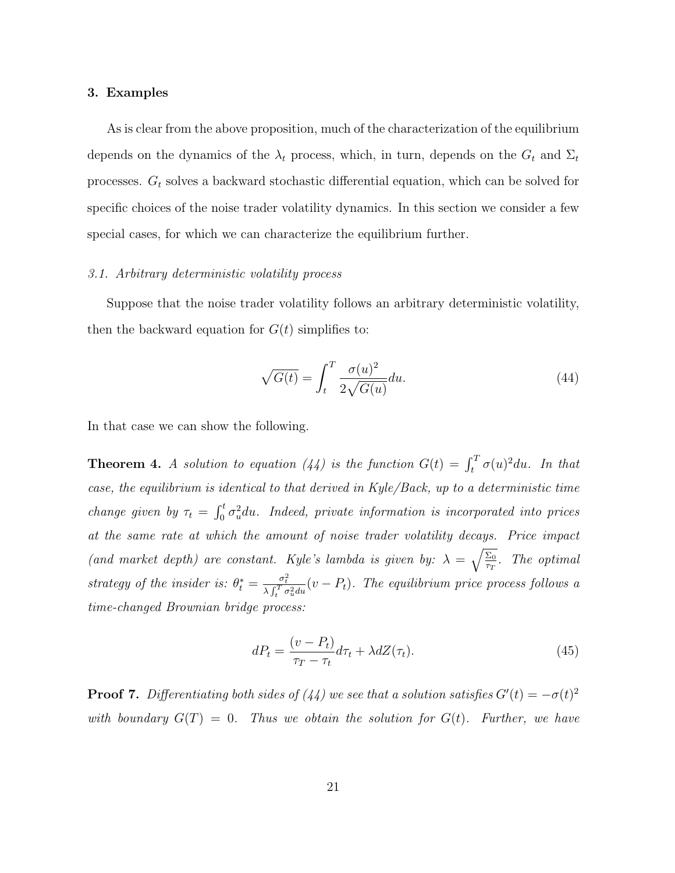# 3. Examples

As is clear from the above proposition, much of the characterization of the equilibrium depends on the dynamics of the  $\lambda_t$  process, which, in turn, depends on the  $G_t$  and  $\Sigma_t$ processes.  $G_t$  solves a backward stochastic differential equation, which can be solved for specific choices of the noise trader volatility dynamics. In this section we consider a few special cases, for which we can characterize the equilibrium further.

# 3.1. Arbitrary deterministic volatility process

Suppose that the noise trader volatility follows an arbitrary deterministic volatility, then the backward equation for  $G(t)$  simplifies to:

$$
\sqrt{G(t)} = \int_{t}^{T} \frac{\sigma(u)^{2}}{2\sqrt{G(u)}} du.
$$
\n(44)

In that case we can show the following.

**Theorem 4.** A solution to equation (44) is the function  $G(t) = \int_t^T \sigma(u)^2 du$ . In that case, the equilibrium is identical to that derived in Kyle/Back, up to a deterministic time change given by  $\tau_t = \int_0^t \sigma_u^2 du$ . Indeed, private information is incorporated into prices at the same rate at which the amount of noise trader volatility decays. Price impact (and market depth) are constant. Kyle's lambda is given by:  $\lambda = \sqrt{\frac{\Sigma_0}{\Sigma_0}}$  $\frac{\Sigma_0}{\tau_T}$ . The optimal strategy of the insider is:  $\theta_t^* = \frac{\sigma_t^2}{\lambda \int_t^T \sigma_u^2 du}(v - P_t)$ . The equilibrium price process follows a time-changed Brownian bridge process:

$$
dP_t = \frac{(v - P_t)}{\tau_T - \tau_t} d\tau_t + \lambda dZ(\tau_t).
$$
\n(45)

**Proof 7.** Differentiating both sides of (44) we see that a solution satisfies  $G'(t) = -\sigma(t)^2$ with boundary  $G(T) = 0$ . Thus we obtain the solution for  $G(t)$ . Further, we have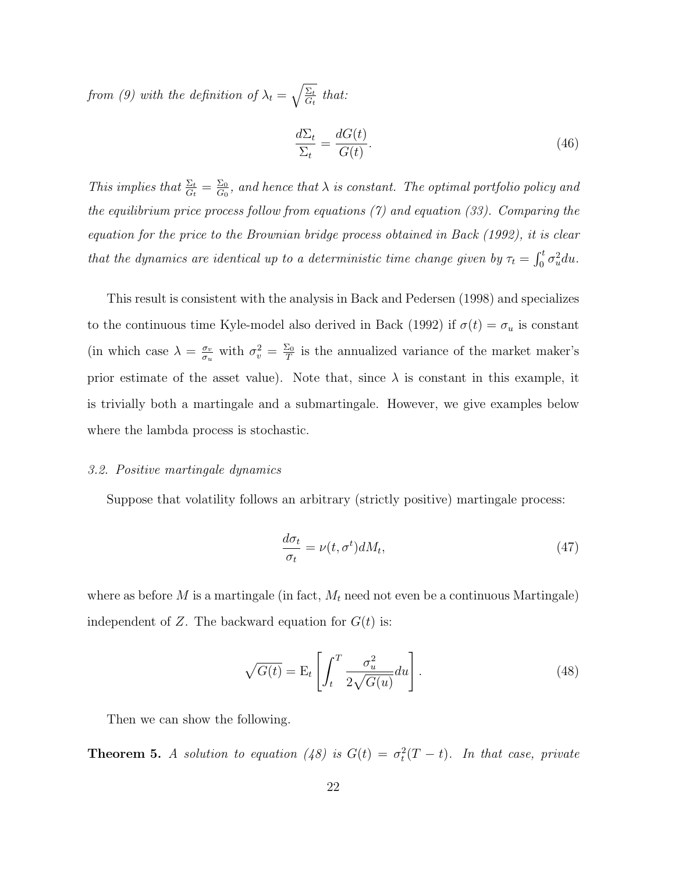from (9) with the definition of  $\lambda_t = \sqrt{\frac{\Sigma_t}{G}}$  $\frac{\Sigma_t}{G_t}$  that:

$$
\frac{d\Sigma_t}{\Sigma_t} = \frac{dG(t)}{G(t)}.\tag{46}
$$

This implies that  $\frac{\Sigma_t}{G_t} = \frac{\Sigma_0}{G_0}$  $\frac{\Sigma_0}{G_0}$ , and hence that  $\lambda$  is constant. The optimal portfolio policy and the equilibrium price process follow from equations (7) and equation (33). Comparing the equation for the price to the Brownian bridge process obtained in Back (1992), it is clear that the dynamics are identical up to a deterministic time change given by  $\tau_t = \int_0^t \sigma_u^2 du$ .

This result is consistent with the analysis in Back and Pedersen (1998) and specializes to the continuous time Kyle-model also derived in Back (1992) if  $\sigma(t) = \sigma_u$  is constant (in which case  $\lambda = \frac{\sigma_v}{\sigma_v}$  $\frac{\sigma_v}{\sigma_u}$  with  $\sigma_v^2 = \frac{\Sigma_0}{T}$  $\frac{\Sigma_0}{T}$  is the annualized variance of the market maker's prior estimate of the asset value). Note that, since  $\lambda$  is constant in this example, it is trivially both a martingale and a submartingale. However, we give examples below where the lambda process is stochastic.

# 3.2. Positive martingale dynamics

Suppose that volatility follows an arbitrary (strictly positive) martingale process:

$$
\frac{d\sigma_t}{\sigma_t} = \nu(t, \sigma^t) dM_t,\tag{47}
$$

where as before  $M$  is a martingale (in fact,  $M_t$  need not even be a continuous Martingale) independent of Z. The backward equation for  $G(t)$  is:

$$
\sqrt{G(t)} = \mathcal{E}_t \left[ \int_t^T \frac{\sigma_u^2}{2\sqrt{G(u)}} du \right]. \tag{48}
$$

Then we can show the following.

**Theorem 5.** A solution to equation (48) is  $G(t) = \sigma_t^2(T - t)$ . In that case, private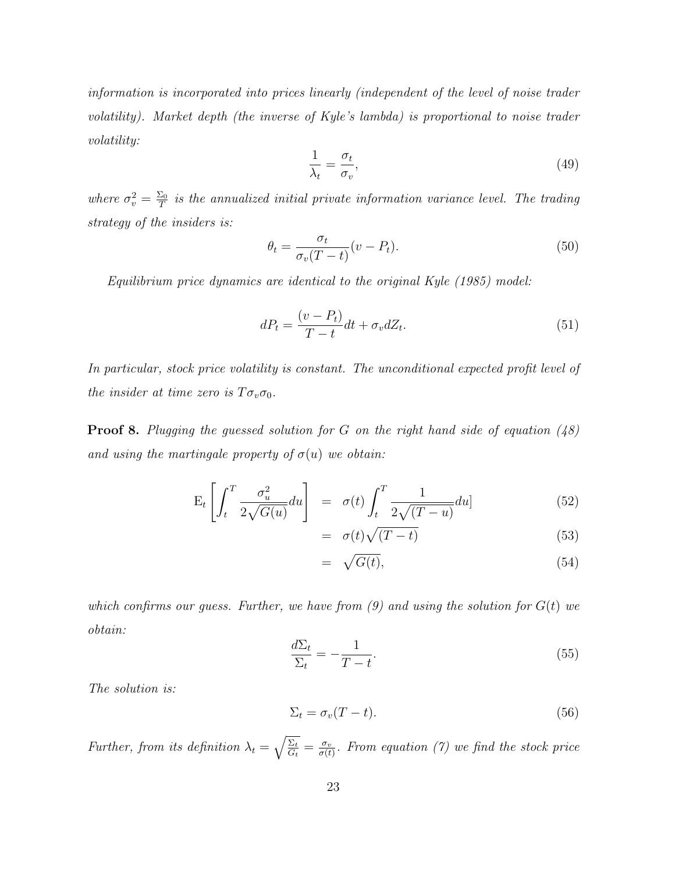information is incorporated into prices linearly (independent of the level of noise trader volatility). Market depth (the inverse of Kyle's lambda) is proportional to noise trader volatility:

$$
\frac{1}{\lambda_t} = \frac{\sigma_t}{\sigma_v},\tag{49}
$$

where  $\sigma_v^2 = \frac{\Sigma_0}{T}$  $\frac{E_0}{T}$  is the annualized initial private information variance level. The trading strategy of the insiders is:

$$
\theta_t = \frac{\sigma_t}{\sigma_v (T - t)} (v - P_t). \tag{50}
$$

Equilibrium price dynamics are identical to the original Kyle (1985) model:

$$
dP_t = \frac{(v - P_t)}{T - t} dt + \sigma_v dZ_t.
$$
\n(51)

In particular, stock price volatility is constant. The unconditional expected profit level of the insider at time zero is  $T\sigma_v\sigma_0$ .

**Proof 8.** Plugging the guessed solution for G on the right hand side of equation  $(48)$ and using the martingale property of  $\sigma(u)$  we obtain:

$$
E_t \left[ \int_t^T \frac{\sigma_u^2}{2\sqrt{G(u)}} du \right] = \sigma(t) \int_t^T \frac{1}{2\sqrt{(T-u)}} du \qquad (52)
$$

$$
= \sigma(t)\sqrt{(T-t)}
$$
\n(53)

$$
= \sqrt{G(t)}, \tag{54}
$$

which confirms our quess. Further, we have from  $(9)$  and using the solution for  $G(t)$  we obtain:

$$
\frac{d\Sigma_t}{\Sigma_t} = -\frac{1}{T-t}.\tag{55}
$$

The solution is:

$$
\Sigma_t = \sigma_v (T - t). \tag{56}
$$

Further, from its definition  $\lambda_t = \sqrt{\frac{\Sigma_t}{G}}$  $\frac{\Sigma_t}{G_t} = \frac{\sigma_v}{\sigma(t)}$  $\frac{\sigma_v}{\sigma(t)}$ . From equation (7) we find the stock price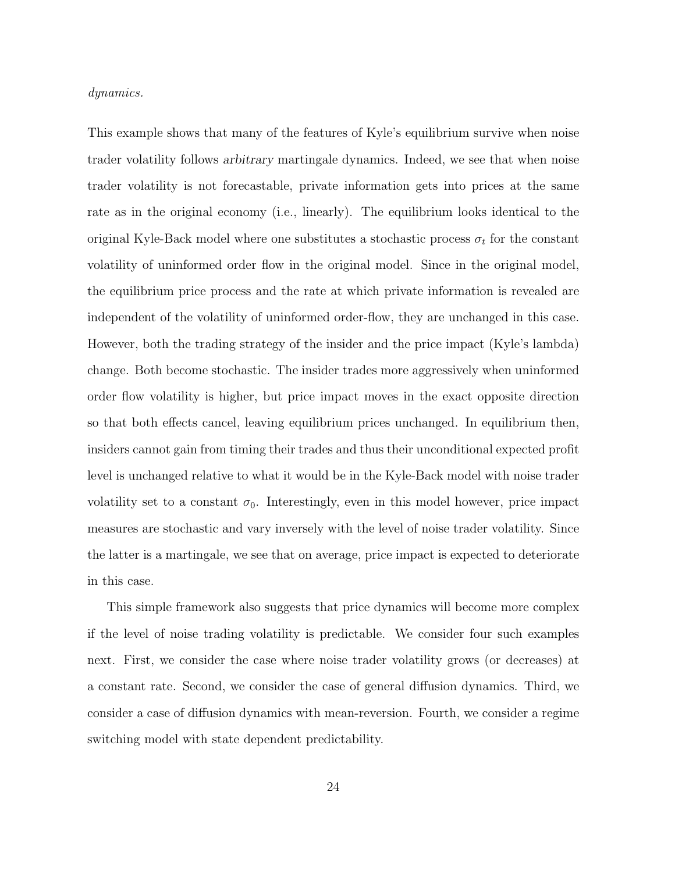#### dynamics.

This example shows that many of the features of Kyle's equilibrium survive when noise trader volatility follows arbitrary martingale dynamics. Indeed, we see that when noise trader volatility is not forecastable, private information gets into prices at the same rate as in the original economy (i.e., linearly). The equilibrium looks identical to the original Kyle-Back model where one substitutes a stochastic process  $\sigma_t$  for the constant volatility of uninformed order flow in the original model. Since in the original model, the equilibrium price process and the rate at which private information is revealed are independent of the volatility of uninformed order-flow, they are unchanged in this case. However, both the trading strategy of the insider and the price impact (Kyle's lambda) change. Both become stochastic. The insider trades more aggressively when uninformed order flow volatility is higher, but price impact moves in the exact opposite direction so that both effects cancel, leaving equilibrium prices unchanged. In equilibrium then, insiders cannot gain from timing their trades and thus their unconditional expected profit level is unchanged relative to what it would be in the Kyle-Back model with noise trader volatility set to a constant  $\sigma_0$ . Interestingly, even in this model however, price impact measures are stochastic and vary inversely with the level of noise trader volatility. Since the latter is a martingale, we see that on average, price impact is expected to deteriorate in this case.

This simple framework also suggests that price dynamics will become more complex if the level of noise trading volatility is predictable. We consider four such examples next. First, we consider the case where noise trader volatility grows (or decreases) at a constant rate. Second, we consider the case of general diffusion dynamics. Third, we consider a case of diffusion dynamics with mean-reversion. Fourth, we consider a regime switching model with state dependent predictability.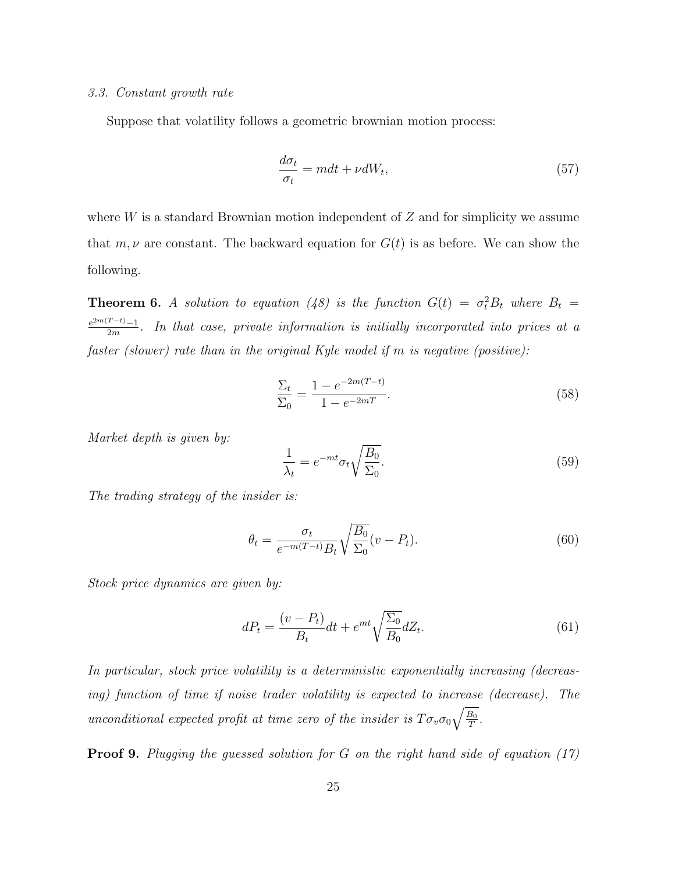#### 3.3. Constant growth rate

Suppose that volatility follows a geometric brownian motion process:

$$
\frac{d\sigma_t}{\sigma_t} = mdt + \nu dW_t,\tag{57}
$$

where  $W$  is a standard Brownian motion independent of  $Z$  and for simplicity we assume that  $m, \nu$  are constant. The backward equation for  $G(t)$  is as before. We can show the following.

**Theorem 6.** A solution to equation (48) is the function  $G(t) = \sigma_t^2 B_t$  where  $B_t =$  $e^{2m(T-t)}-1$  $\frac{1}{2m}$ . In that case, private information is initially incorporated into prices at a faster (slower) rate than in the original Kyle model if m is negative (positive):

$$
\frac{\Sigma_t}{\Sigma_0} = \frac{1 - e^{-2m(T - t)}}{1 - e^{-2mT}}.
$$
\n(58)

Market depth is given by:

$$
\frac{1}{\lambda_t} = e^{-mt} \sigma_t \sqrt{\frac{B_0}{\Sigma_0}}.
$$
\n(59)

The trading strategy of the insider is:

$$
\theta_t = \frac{\sigma_t}{e^{-m(T-t)}B_t} \sqrt{\frac{B_0}{\Sigma_0}} (v - P_t). \tag{60}
$$

Stock price dynamics are given by:

$$
dP_t = \frac{(v - P_t)}{B_t}dt + e^{mt}\sqrt{\frac{\Sigma_0}{B_0}}dZ_t.
$$
\n
$$
(61)
$$

In particular, stock price volatility is a deterministic exponentially increasing (decreasing) function of time if noise trader volatility is expected to increase (decrease). The unconditional expected profit at time zero of the insider is  $T\sigma_v\sigma_0\sqrt{\frac{B_0}{T}}$  $\frac{B_0}{T}$  .

**Proof 9.** Plugging the guessed solution for G on the right hand side of equation (17)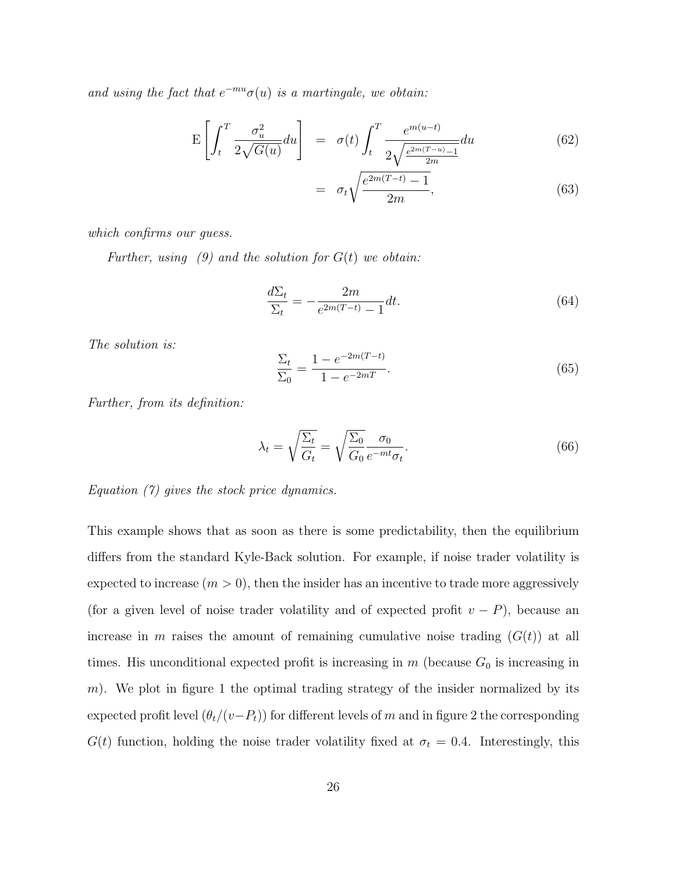and using the fact that  $e^{-mu} \sigma(u)$  is a martingale, we obtain:

$$
\mathcal{E}\left[\int_{t}^{T} \frac{\sigma_{u}^{2}}{2\sqrt{G(u)}} du\right] = \sigma(t) \int_{t}^{T} \frac{e^{m(u-t)}}{2\sqrt{\frac{e^{2m(T-u)}-1}{2m}}} du \tag{62}
$$

$$
= \sigma_t \sqrt{\frac{e^{2m(T-t)} - 1}{2m}}, \tag{63}
$$

which confirms our guess.

Further, using  $(9)$  and the solution for  $G(t)$  we obtain:

$$
\frac{d\Sigma_t}{\Sigma_t} = -\frac{2m}{e^{2m(T-t)} - 1} dt. \tag{64}
$$

The solution is:

$$
\frac{\Sigma_t}{\Sigma_0} = \frac{1 - e^{-2m(T - t)}}{1 - e^{-2mT}}.
$$
\n(65)

Further, from its definition:

$$
\lambda_t = \sqrt{\frac{\Sigma_t}{G_t}} = \sqrt{\frac{\Sigma_0}{G_0}} \frac{\sigma_0}{e^{-mt}\sigma_t}.
$$
\n(66)

Equation (7) gives the stock price dynamics.

This example shows that as soon as there is some predictability, then the equilibrium differs from the standard Kyle-Back solution. For example, if noise trader volatility is expected to increase  $(m > 0)$ , then the insider has an incentive to trade more aggressively (for a given level of noise trader volatility and of expected profit  $v - P$ ), because an increase in m raises the amount of remaining cumulative noise trading  $(G(t))$  at all times. His unconditional expected profit is increasing in  $m$  (because  $G_0$  is increasing in m). We plot in figure 1 the optimal trading strategy of the insider normalized by its expected profit level  $(\theta_t/(v-P_t))$  for different levels of m and in figure 2 the corresponding  $G(t)$  function, holding the noise trader volatility fixed at  $\sigma_t = 0.4$ . Interestingly, this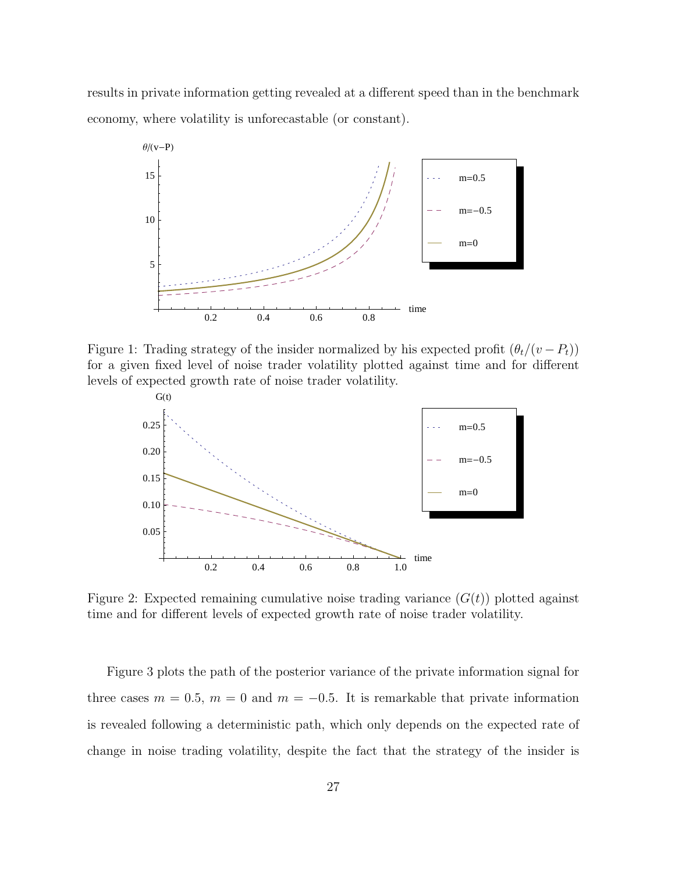results in private information getting revealed at a different speed than in the benchmark economy, where volatility is unforecastable (or constant).



Figure 1: Trading strategy of the insider normalized by his expected profit  $(\theta_t/(v - P_t))$ for a given fixed level of noise trader volatility plotted against time and for different levels of expected growth rate of noise trader volatility.



Figure 2: Expected remaining cumulative noise trading variance  $(G(t))$  plotted against time and for different levels of expected growth rate of noise trader volatility.

Figure 3 plots the path of the posterior variance of the private information signal for three cases  $m = 0.5$ ,  $m = 0$  and  $m = -0.5$ . It is remarkable that private information is revealed following a deterministic path, which only depends on the expected rate of change in noise trading volatility, despite the fact that the strategy of the insider is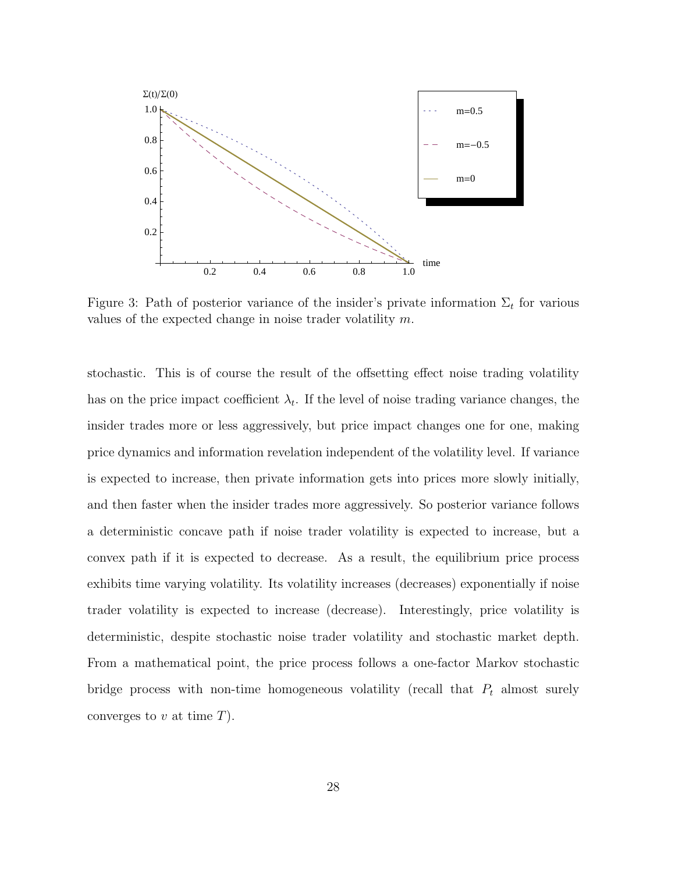

Figure 3: Path of posterior variance of the insider's private information  $\Sigma_t$  for various values of the expected change in noise trader volatility m.

stochastic. This is of course the result of the offsetting effect noise trading volatility has on the price impact coefficient  $\lambda_t$ . If the level of noise trading variance changes, the insider trades more or less aggressively, but price impact changes one for one, making price dynamics and information revelation independent of the volatility level. If variance is expected to increase, then private information gets into prices more slowly initially, and then faster when the insider trades more aggressively. So posterior variance follows a deterministic concave path if noise trader volatility is expected to increase, but a convex path if it is expected to decrease. As a result, the equilibrium price process exhibits time varying volatility. Its volatility increases (decreases) exponentially if noise trader volatility is expected to increase (decrease). Interestingly, price volatility is deterministic, despite stochastic noise trader volatility and stochastic market depth. From a mathematical point, the price process follows a one-factor Markov stochastic bridge process with non-time homogeneous volatility (recall that  $P_t$  almost surely converges to  $v$  at time  $T$ ).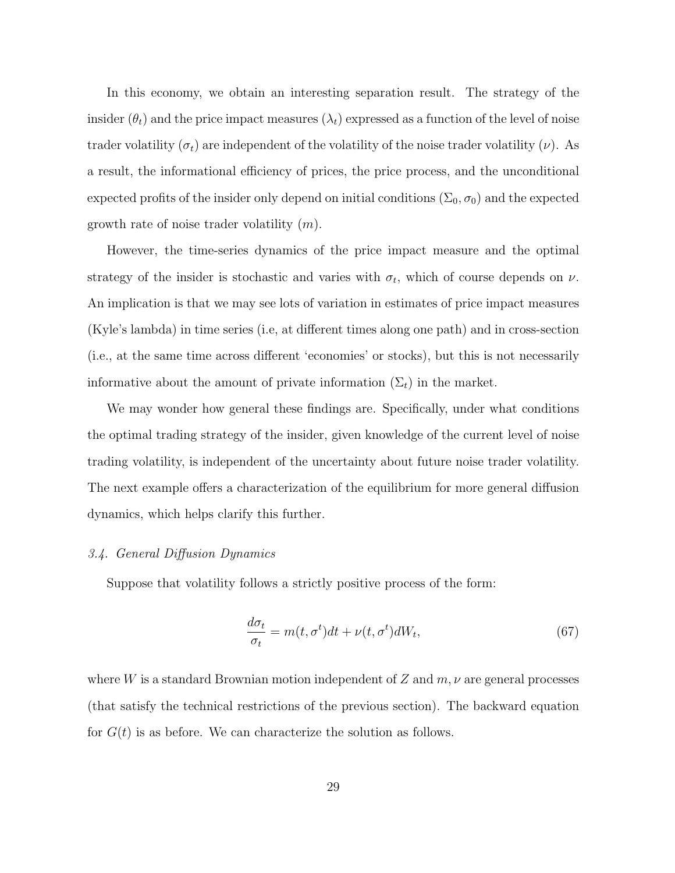In this economy, we obtain an interesting separation result. The strategy of the insider  $(\theta_t)$  and the price impact measures  $(\lambda_t)$  expressed as a function of the level of noise trader volatility  $(\sigma_t)$  are independent of the volatility of the noise trader volatility  $(\nu)$ . As a result, the informational efficiency of prices, the price process, and the unconditional expected profits of the insider only depend on initial conditions  $(\Sigma_0, \sigma_0)$  and the expected growth rate of noise trader volatility  $(m)$ .

However, the time-series dynamics of the price impact measure and the optimal strategy of the insider is stochastic and varies with  $\sigma_t$ , which of course depends on  $\nu$ . An implication is that we may see lots of variation in estimates of price impact measures (Kyle's lambda) in time series (i.e, at different times along one path) and in cross-section (i.e., at the same time across different 'economies' or stocks), but this is not necessarily informative about the amount of private information  $(\Sigma_t)$  in the market.

We may wonder how general these findings are. Specifically, under what conditions the optimal trading strategy of the insider, given knowledge of the current level of noise trading volatility, is independent of the uncertainty about future noise trader volatility. The next example offers a characterization of the equilibrium for more general diffusion dynamics, which helps clarify this further.

# 3.4. General Diffusion Dynamics

Suppose that volatility follows a strictly positive process of the form:

$$
\frac{d\sigma_t}{\sigma_t} = m(t, \sigma^t)dt + \nu(t, \sigma^t)dW_t,
$$
\n(67)

where W is a standard Brownian motion independent of Z and  $m, \nu$  are general processes (that satisfy the technical restrictions of the previous section). The backward equation for  $G(t)$  is as before. We can characterize the solution as follows.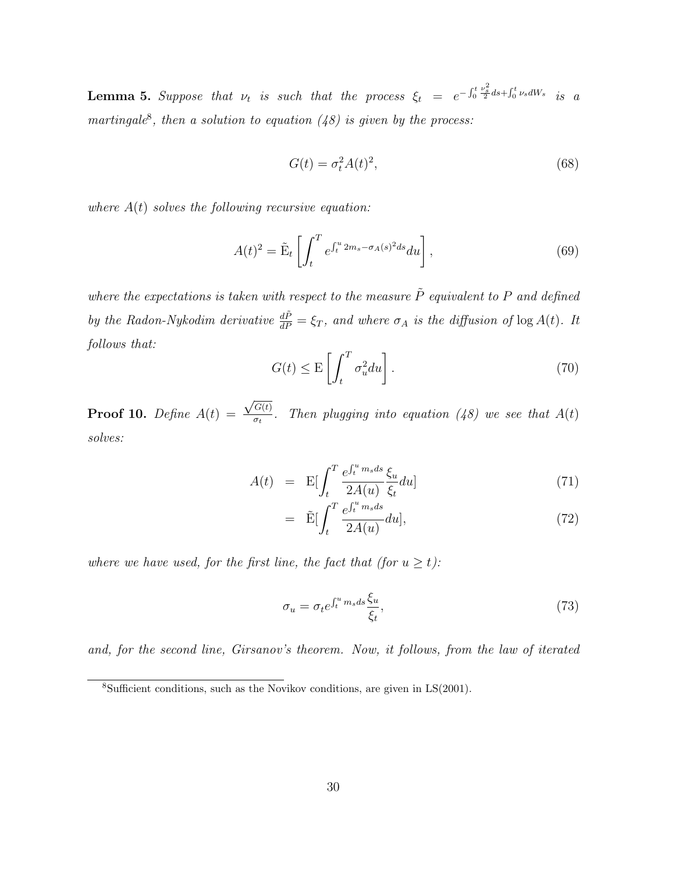**Lemma 5.** Suppose that  $\nu_t$  is such that the process  $\xi_t = e^{-\int_0^t \frac{\nu_s^2}{2} ds + \int_0^t \nu_s dW_s}$  is a martingale<sup>8</sup>, then a solution to equation  $(48)$  is given by the process:

$$
G(t) = \sigma_t^2 A(t)^2,\tag{68}
$$

where  $A(t)$  solves the following recursive equation:

$$
A(t)^2 = \tilde{\mathbf{E}}_t \left[ \int_t^T e^{\int_t^u 2m_s - \sigma_A(s)^2 ds} du \right],\tag{69}
$$

where the expectations is taken with respect to the measure  $\tilde{P}$  equivalent to P and defined by the Radon-Nykodim derivative  $\frac{d\tilde{P}}{dP} = \xi_T$ , and where  $\sigma_A$  is the diffusion of  $\log A(t)$ . It follows that:

$$
G(t) \le \mathcal{E}\left[\int_{t}^{T} \sigma_{u}^{2} du\right].
$$
 (70)

**Proof 10.** Define  $A(t)$  =  $\sqrt{G(t)}$  $\frac{\partial u(t)}{\partial t}$ . Then plugging into equation (48) we see that  $A(t)$ solves:

$$
A(t) = \mathcal{E} \left[ \int_{t}^{T} \frac{e^{\int_{t}^{u} m_{s} ds} \xi_{u}}{2A(u)} \frac{\xi_{u}}{\xi_{t}} du \right]
$$
(71)

$$
= \tilde{\mathbf{E}} \left[ \int_{t}^{T} \frac{e^{\int_{t}^{u} m_{s} ds}}{2A(u)} du \right], \tag{72}
$$

where we have used, for the first line, the fact that (for  $u \ge t$ ):

$$
\sigma_u = \sigma_t e^{\int_t^u m_s ds} \frac{\xi_u}{\xi_t},\tag{73}
$$

and, for the second line, Girsanov's theorem. Now, it follows, from the law of iterated

 ${}^{8}$ Sufficient conditions, such as the Novikov conditions, are given in LS(2001).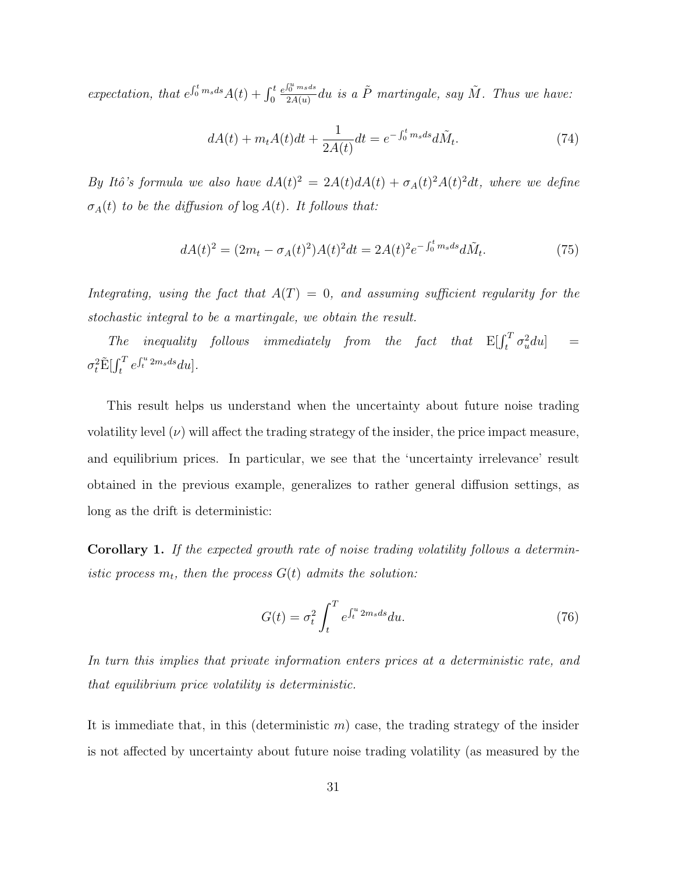expectation, that  $e^{\int_0^t m_s ds} A(t) + \int_0^t$  $e^{\int_0^u m_s ds}$  $\frac{\int_{0}^{u}msds}{2A(u)}du$  is a  $\tilde{P}$  martingale, say  $\tilde{M}$ . Thus we have:

$$
dA(t) + m_t A(t)dt + \frac{1}{2A(t)}dt = e^{-\int_0^t m_s ds} d\tilde{M}_t.
$$
 (74)

By Itô's formula we also have  $dA(t)^2 = 2A(t)dA(t) + \sigma_A(t)^2A(t)^2dt$ , where we define  $\sigma_A(t)$  to be the diffusion of  $\log A(t)$ . It follows that:

$$
dA(t)^{2} = (2m_{t} - \sigma_{A}(t)^{2})A(t)^{2}dt = 2A(t)^{2}e^{-\int_{0}^{t}m_{s}ds}d\tilde{M}_{t}.
$$
 (75)

Integrating, using the fact that  $A(T) = 0$ , and assuming sufficient regularity for the stochastic integral to be a martingale, we obtain the result.

The inequality follows immediately from the fact that  $E[\int_t^T \sigma_u^2 du] =$  $\sigma_t^2 \tilde{\mathrm{E}}[\int_t^T e^{\int_t^u 2m_s ds} du].$ 

This result helps us understand when the uncertainty about future noise trading volatility level  $(\nu)$  will affect the trading strategy of the insider, the price impact measure, and equilibrium prices. In particular, we see that the 'uncertainty irrelevance' result obtained in the previous example, generalizes to rather general diffusion settings, as long as the drift is deterministic:

Corollary 1. If the expected growth rate of noise trading volatility follows a deterministic process  $m_t$ , then the process  $G(t)$  admits the solution:

$$
G(t) = \sigma_t^2 \int_t^T e^{\int_t^u 2m_s ds} du.
$$
\n(76)

In turn this implies that private information enters prices at a deterministic rate, and that equilibrium price volatility is deterministic.

It is immediate that, in this (deterministic  $m$ ) case, the trading strategy of the insider is not affected by uncertainty about future noise trading volatility (as measured by the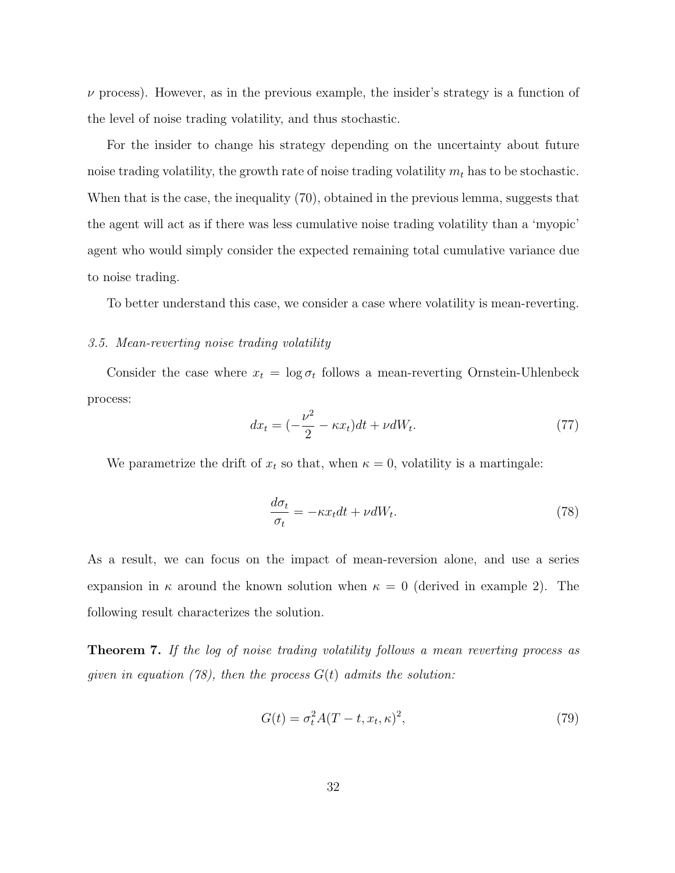$\nu$  process). However, as in the previous example, the insider's strategy is a function of the level of noise trading volatility, and thus stochastic.

For the insider to change his strategy depending on the uncertainty about future noise trading volatility, the growth rate of noise trading volatility  $m_t$  has to be stochastic. When that is the case, the inequality (70), obtained in the previous lemma, suggests that the agent will act as if there was less cumulative noise trading volatility than a 'myopic' agent who would simply consider the expected remaining total cumulative variance due to noise trading.

To better understand this case, we consider a case where volatility is mean-reverting.

#### 3.5. Mean-reverting noise trading volatility

Consider the case where  $x_t = \log \sigma_t$  follows a mean-reverting Ornstein-Uhlenbeck process:

$$
dx_t = \left(-\frac{\nu^2}{2} - \kappa x_t\right)dt + \nu dW_t.
$$
\n(77)

We parametrize the drift of  $x_t$  so that, when  $\kappa = 0$ , volatility is a martingale:

$$
\frac{d\sigma_t}{\sigma_t} = -\kappa x_t dt + \nu dW_t.
$$
\n(78)

As a result, we can focus on the impact of mean-reversion alone, and use a series expansion in  $\kappa$  around the known solution when  $\kappa = 0$  (derived in example 2). The following result characterizes the solution.

Theorem 7. If the log of noise trading volatility follows a mean reverting process as given in equation (78), then the process  $G(t)$  admits the solution:

$$
G(t) = \sigma_t^2 A(T - t, x_t, \kappa)^2,
$$
\n(79)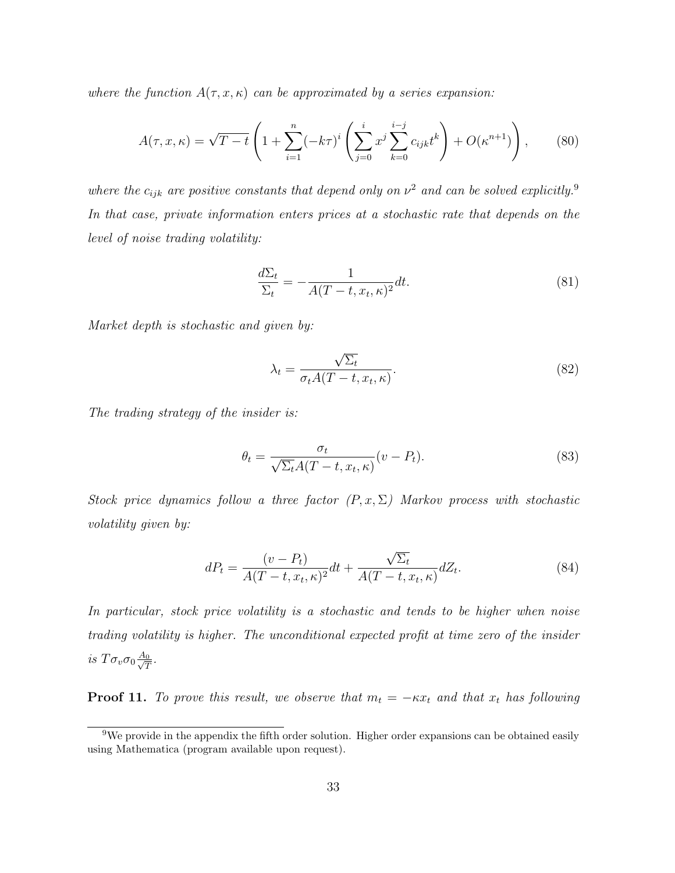where the function  $A(\tau, x, \kappa)$  can be approximated by a series expansion:

$$
A(\tau, x, \kappa) = \sqrt{T - t} \left( 1 + \sum_{i=1}^{n} (-k\tau)^{i} \left( \sum_{j=0}^{i} x^{j} \sum_{k=0}^{i-j} c_{ijk} t^{k} \right) + O(\kappa^{n+1}) \right), \tag{80}
$$

where the  $c_{ijk}$  are positive constants that depend only on  $\nu^2$  and can be solved explicitly.<sup>9</sup> In that case, private information enters prices at a stochastic rate that depends on the level of noise trading volatility:

$$
\frac{d\Sigma_t}{\Sigma_t} = -\frac{1}{A(T-t, x_t, \kappa)^2} dt.
$$
\n(81)

Market depth is stochastic and given by:

$$
\lambda_t = \frac{\sqrt{\Sigma_t}}{\sigma_t A (T - t, x_t, \kappa)}.
$$
\n(82)

The trading strategy of the insider is:

$$
\theta_t = \frac{\sigma_t}{\sqrt{\Sigma_t}A(T-t, x_t, \kappa)}(v - P_t). \tag{83}
$$

Stock price dynamics follow a three factor  $(P, x, \Sigma)$  Markov process with stochastic volatility given by:

$$
dP_t = \frac{(v - P_t)}{A(T - t, x_t, \kappa)^2} dt + \frac{\sqrt{\Sigma_t}}{A(T - t, x_t, \kappa)} dZ_t.
$$
 (84)

In particular, stock price volatility is a stochastic and tends to be higher when noise trading volatility is higher. The unconditional expected profit at time zero of the insider is  $T\sigma_v\sigma_0\frac{A_0}{\sqrt{7}}$  $\frac{0}{T}$ .

**Proof 11.** To prove this result, we observe that  $m_t = -\kappa x_t$  and that  $x_t$  has following

<sup>&</sup>lt;sup>9</sup>We provide in the appendix the fifth order solution. Higher order expansions can be obtained easily using Mathematica (program available upon request).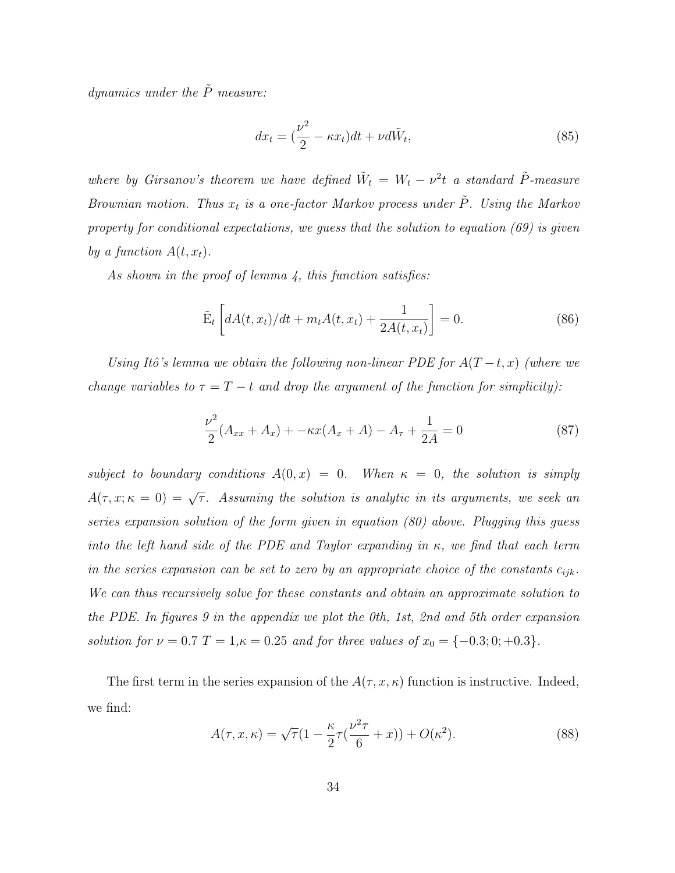dynamics under the  $\tilde{P}$  measure:

$$
dx_t = \left(\frac{\nu^2}{2} - \kappa x_t\right)dt + \nu d\tilde{W}_t,\tag{85}
$$

where by Girsanov's theorem we have defined  $\tilde{W}_t = W_t - \nu^2 t$  a standard  $\tilde{P}$ -measure Brownian motion. Thus  $x_t$  is a one-factor Markov process under  $\tilde{P}$ . Using the Markov property for conditional expectations, we guess that the solution to equation (69) is given by a function  $A(t, x_t)$ .

As shown in the proof of lemma 4, this function satisfies:

$$
\tilde{E}_t \left[ dA(t, x_t) / dt + m_t A(t, x_t) + \frac{1}{2A(t, x_t)} \right] = 0.
$$
\n(86)

Using Itô's lemma we obtain the following non-linear PDE for  $A(T-t, x)$  (where we change variables to  $\tau = T - t$  and drop the argument of the function for simplicity):

$$
\frac{\nu^2}{2}(A_{xx} + A_x) + -\kappa x(A_x + A) - A_\tau + \frac{1}{2A} = 0
$$
\n(87)

subject to boundary conditions  $A(0, x) = 0$ . When  $\kappa = 0$ , the solution is simply  $A(\tau, x; \kappa = 0) = \sqrt{\tau}$ . Assuming the solution is analytic in its arguments, we seek an series expansion solution of the form given in equation (80) above. Plugging this guess into the left hand side of the PDE and Taylor expanding in  $\kappa$ , we find that each term in the series expansion can be set to zero by an appropriate choice of the constants  $c_{ijk}$ . We can thus recursively solve for these constants and obtain an approximate solution to the PDE. In figures 9 in the appendix we plot the 0th, 1st, 2nd and 5th order expansion solution for  $\nu = 0.7$  T = 1, $\kappa = 0.25$  and for three values of  $x_0 = \{-0.3; 0; +0.3\}.$ 

The first term in the series expansion of the  $A(\tau, x, \kappa)$  function is instructive. Indeed, we find:

$$
A(\tau, x, \kappa) = \sqrt{\tau} \left(1 - \frac{\kappa}{2} \tau \left(\frac{\nu^2 \tau}{6} + x\right)\right) + O(\kappa^2). \tag{88}
$$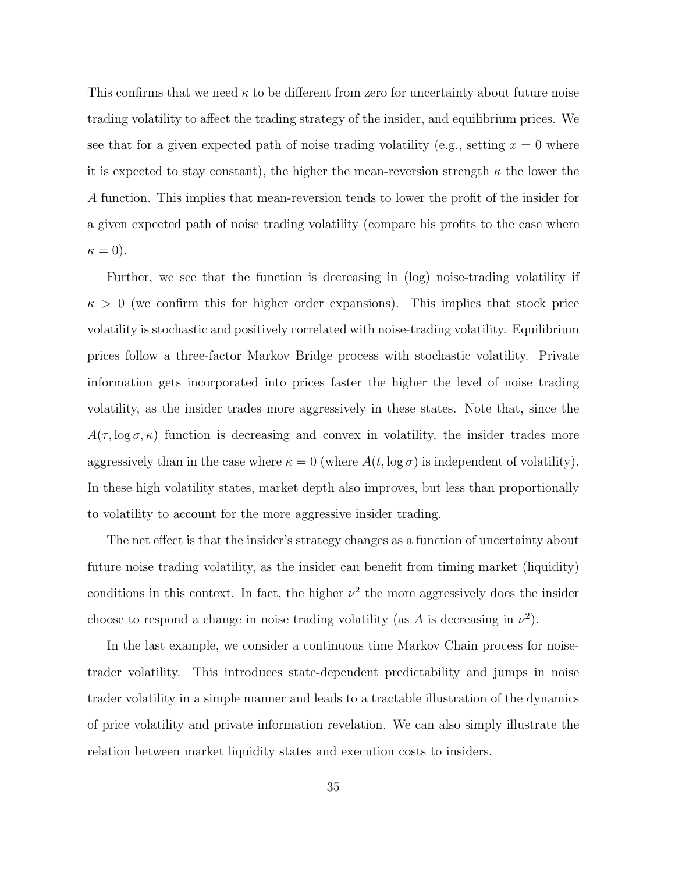This confirms that we need  $\kappa$  to be different from zero for uncertainty about future noise trading volatility to affect the trading strategy of the insider, and equilibrium prices. We see that for a given expected path of noise trading volatility (e.g., setting  $x = 0$  where it is expected to stay constant), the higher the mean-reversion strength  $\kappa$  the lower the A function. This implies that mean-reversion tends to lower the profit of the insider for a given expected path of noise trading volatility (compare his profits to the case where  $\kappa = 0$ ).

Further, we see that the function is decreasing in (log) noise-trading volatility if  $\kappa > 0$  (we confirm this for higher order expansions). This implies that stock price volatility is stochastic and positively correlated with noise-trading volatility. Equilibrium prices follow a three-factor Markov Bridge process with stochastic volatility. Private information gets incorporated into prices faster the higher the level of noise trading volatility, as the insider trades more aggressively in these states. Note that, since the  $A(\tau, \log \sigma, \kappa)$  function is decreasing and convex in volatility, the insider trades more aggressively than in the case where  $\kappa = 0$  (where  $A(t, \log \sigma)$  is independent of volatility). In these high volatility states, market depth also improves, but less than proportionally to volatility to account for the more aggressive insider trading.

The net effect is that the insider's strategy changes as a function of uncertainty about future noise trading volatility, as the insider can benefit from timing market (liquidity) conditions in this context. In fact, the higher  $\nu^2$  the more aggressively does the insider choose to respond a change in noise trading volatility (as A is decreasing in  $\nu^2$ ).

In the last example, we consider a continuous time Markov Chain process for noisetrader volatility. This introduces state-dependent predictability and jumps in noise trader volatility in a simple manner and leads to a tractable illustration of the dynamics of price volatility and private information revelation. We can also simply illustrate the relation between market liquidity states and execution costs to insiders.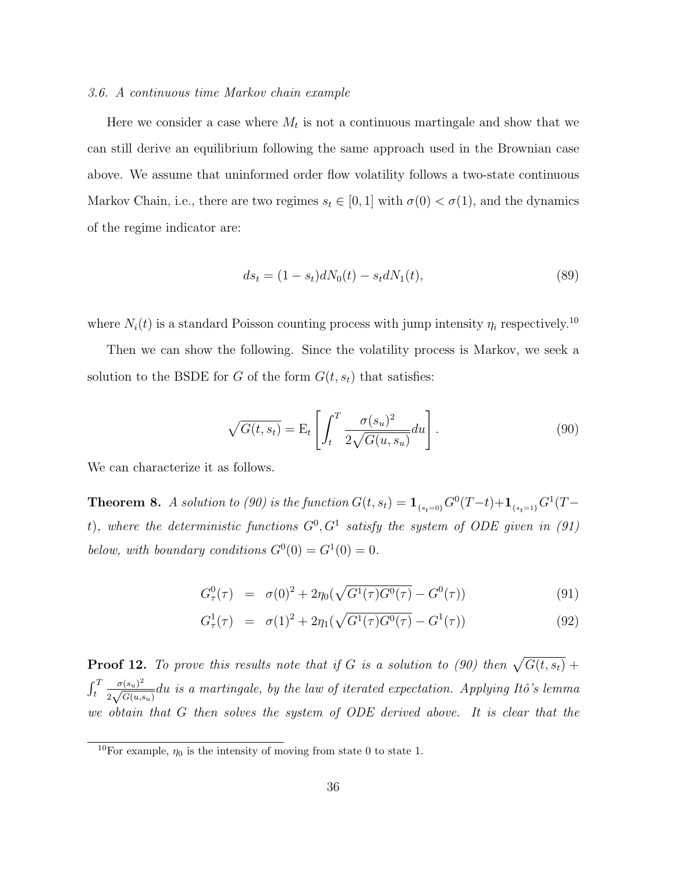#### 3.6. A continuous time Markov chain example

Here we consider a case where  $M_t$  is not a continuous martingale and show that we can still derive an equilibrium following the same approach used in the Brownian case above. We assume that uninformed order flow volatility follows a two-state continuous Markov Chain, i.e., there are two regimes  $s_t \in [0,1]$  with  $\sigma(0) < \sigma(1)$ , and the dynamics of the regime indicator are:

$$
ds_t = (1 - s_t)dN_0(t) - s_t dN_1(t),
$$
\n(89)

where  $N_i(t)$  is a standard Poisson counting process with jump intensity  $\eta_i$  respectively.<sup>10</sup>

Then we can show the following. Since the volatility process is Markov, we seek a solution to the BSDE for G of the form  $G(t, s_t)$  that satisfies:

$$
\sqrt{G(t, s_t)} = \mathcal{E}_t \left[ \int_t^T \frac{\sigma(s_u)^2}{2\sqrt{G(u, s_u)}} du \right]. \tag{90}
$$

We can characterize it as follows.

**Theorem 8.** A solution to (90) is the function  $G(t, s_t) = \mathbf{1}_{s_t=0}G^0(T-t)+\mathbf{1}_{s_{t}=1}G^1(T-t)$ t), where the deterministic functions  $G^0, G^1$  satisfy the system of ODE given in (91) below, with boundary conditions  $G^0(0) = G^1(0) = 0$ .

$$
G_{\tau}^{0}(\tau) = \sigma(0)^{2} + 2\eta_{0}(\sqrt{G^{1}(\tau)G^{0}(\tau)} - G^{0}(\tau))
$$
\n(91)

$$
G_{\tau}^{1}(\tau) = \sigma(1)^{2} + 2\eta_{1}(\sqrt{G^{1}(\tau)G^{0}(\tau)} - G^{1}(\tau))
$$
\n(92)

**Proof 12.** To prove this results note that if G is a solution to (90) then  $\sqrt{G(t, s_t)}$  +  $\int_t^T$  $\sigma(s_u)^2$  $\frac{\sigma(s_u)^2}{2\sqrt{G(u,s_u)}}$ du is a martingale, by the law of iterated expectation. Applying Itô's lemma we obtain that G then solves the system of ODE derived above. It is clear that the

<sup>&</sup>lt;sup>10</sup>For example,  $\eta_0$  is the intensity of moving from state 0 to state 1.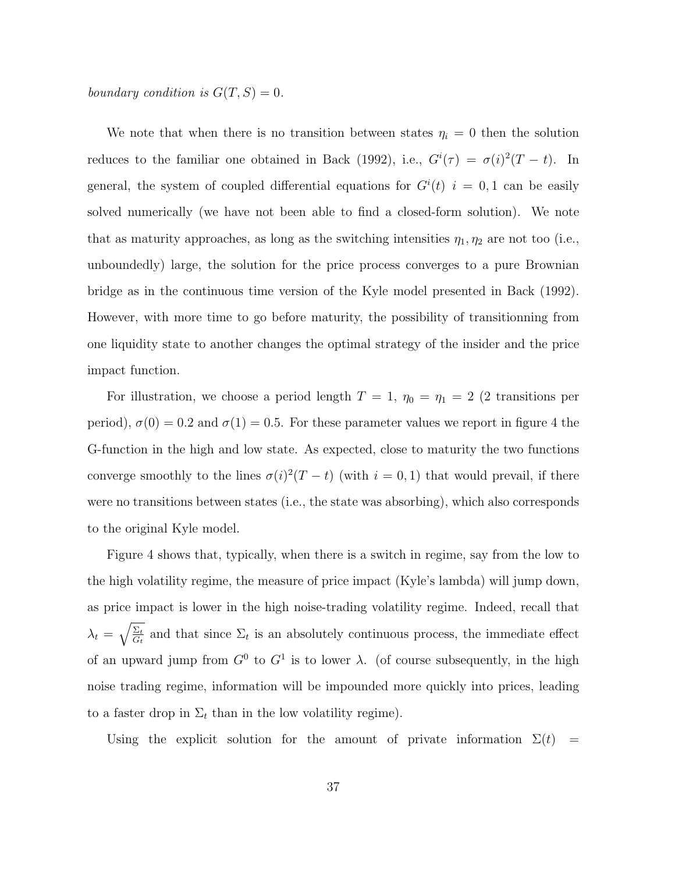boundary condition is  $G(T, S) = 0$ .

We note that when there is no transition between states  $\eta_i = 0$  then the solution reduces to the familiar one obtained in Back (1992), i.e.,  $G^{i}(\tau) = \sigma(i)^{2}(T - t)$ . In general, the system of coupled differential equations for  $G^{i}(t)$   $i = 0,1$  can be easily solved numerically (we have not been able to find a closed-form solution). We note that as maturity approaches, as long as the switching intensities  $\eta_1, \eta_2$  are not too (i.e., unboundedly) large, the solution for the price process converges to a pure Brownian bridge as in the continuous time version of the Kyle model presented in Back (1992). However, with more time to go before maturity, the possibility of transitionning from one liquidity state to another changes the optimal strategy of the insider and the price impact function.

For illustration, we choose a period length  $T = 1$ ,  $\eta_0 = \eta_1 = 2$  (2 transitions per period),  $\sigma(0) = 0.2$  and  $\sigma(1) = 0.5$ . For these parameter values we report in figure 4 the G-function in the high and low state. As expected, close to maturity the two functions converge smoothly to the lines  $\sigma(i)^2(T-t)$  (with  $i=0,1$ ) that would prevail, if there were no transitions between states (i.e., the state was absorbing), which also corresponds to the original Kyle model.

Figure 4 shows that, typically, when there is a switch in regime, say from the low to the high volatility regime, the measure of price impact (Kyle's lambda) will jump down, as price impact is lower in the high noise-trading volatility regime. Indeed, recall that  $\lambda_t = \sqrt{\frac{\Sigma_t}{G_t}}$  $\frac{\Sigma_t}{G_t}$  and that since  $\Sigma_t$  is an absolutely continuous process, the immediate effect of an upward jump from  $G^0$  to  $G^1$  is to lower  $\lambda$ . (of course subsequently, in the high noise trading regime, information will be impounded more quickly into prices, leading to a faster drop in  $\Sigma_t$  than in the low volatility regime).

Using the explicit solution for the amount of private information  $\Sigma(t)$  =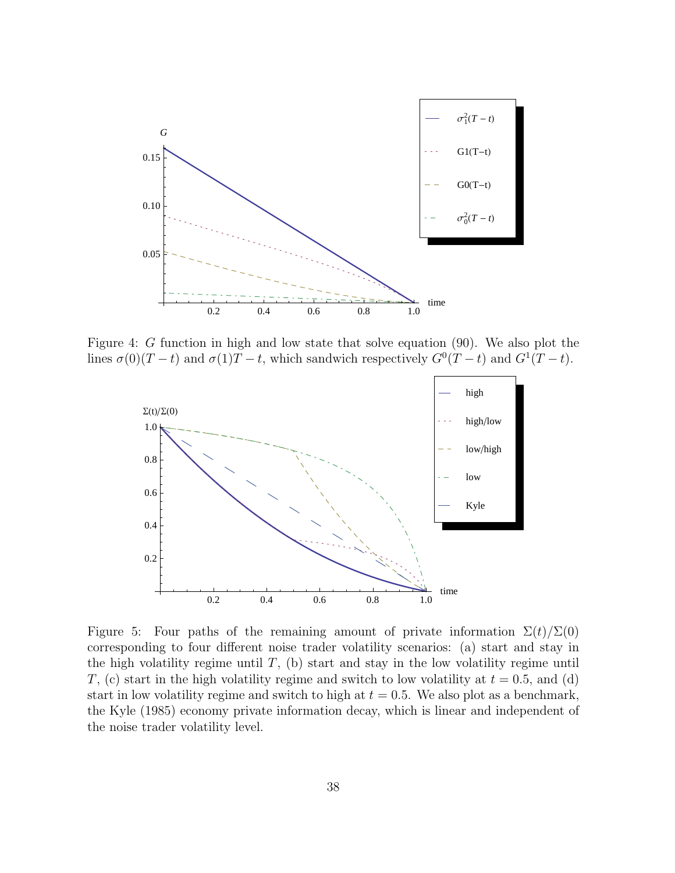

Figure 4: G function in high and low state that solve equation (90). We also plot the lines  $\sigma(0)(T-t)$  and  $\sigma(1)T-t$ , which sandwich respectively  $G^0(T-t)$  and  $G^1(T-t)$ .



Figure 5: Four paths of the remaining amount of private information  $\Sigma(t)/\Sigma(0)$ corresponding to four different noise trader volatility scenarios: (a) start and stay in the high volatility regime until  $T$ , (b) start and stay in the low volatility regime until T, (c) start in the high volatility regime and switch to low volatility at  $t = 0.5$ , and (d) start in low volatility regime and switch to high at  $t = 0.5$ . We also plot as a benchmark, the Kyle (1985) economy private information decay, which is linear and independent of the noise trader volatility level.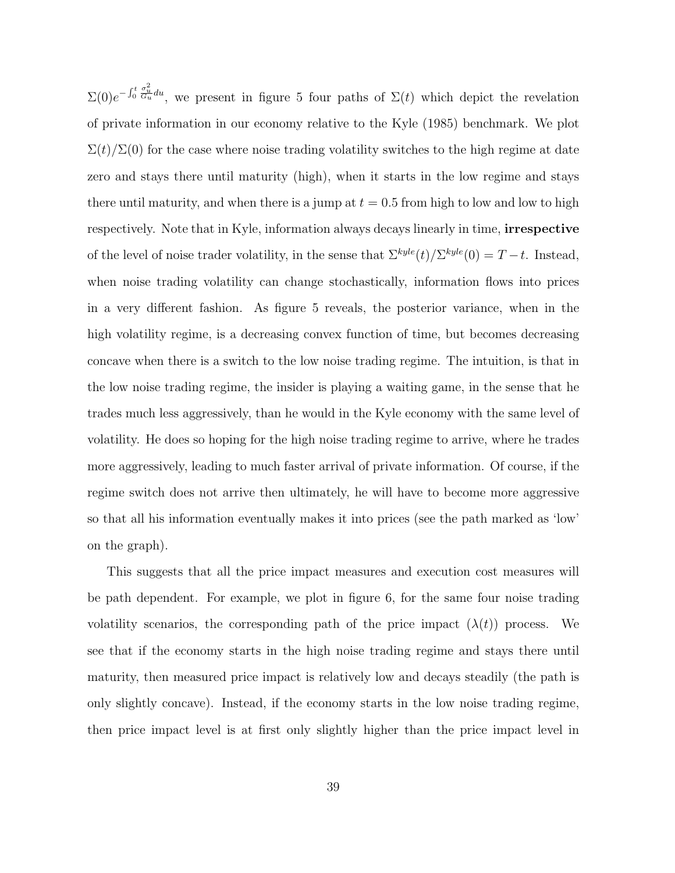$\Sigma(0)e^{-\int_0^t \frac{\sigma_u^2}{G_u}du}$ , we present in figure 5 four paths of  $\Sigma(t)$  which depict the revelation of private information in our economy relative to the Kyle (1985) benchmark. We plot  $\Sigma(t)/\Sigma(0)$  for the case where noise trading volatility switches to the high regime at date zero and stays there until maturity (high), when it starts in the low regime and stays there until maturity, and when there is a jump at  $t = 0.5$  from high to low and low to high respectively. Note that in Kyle, information always decays linearly in time, irrespective of the level of noise trader volatility, in the sense that  $\sum^{kyle}(t)/\sum^{kyle}(0) = T - t$ . Instead, when noise trading volatility can change stochastically, information flows into prices in a very different fashion. As figure 5 reveals, the posterior variance, when in the high volatility regime, is a decreasing convex function of time, but becomes decreasing concave when there is a switch to the low noise trading regime. The intuition, is that in the low noise trading regime, the insider is playing a waiting game, in the sense that he trades much less aggressively, than he would in the Kyle economy with the same level of volatility. He does so hoping for the high noise trading regime to arrive, where he trades more aggressively, leading to much faster arrival of private information. Of course, if the regime switch does not arrive then ultimately, he will have to become more aggressive so that all his information eventually makes it into prices (see the path marked as 'low' on the graph).

This suggests that all the price impact measures and execution cost measures will be path dependent. For example, we plot in figure 6, for the same four noise trading volatility scenarios, the corresponding path of the price impact  $(\lambda(t))$  process. We see that if the economy starts in the high noise trading regime and stays there until maturity, then measured price impact is relatively low and decays steadily (the path is only slightly concave). Instead, if the economy starts in the low noise trading regime, then price impact level is at first only slightly higher than the price impact level in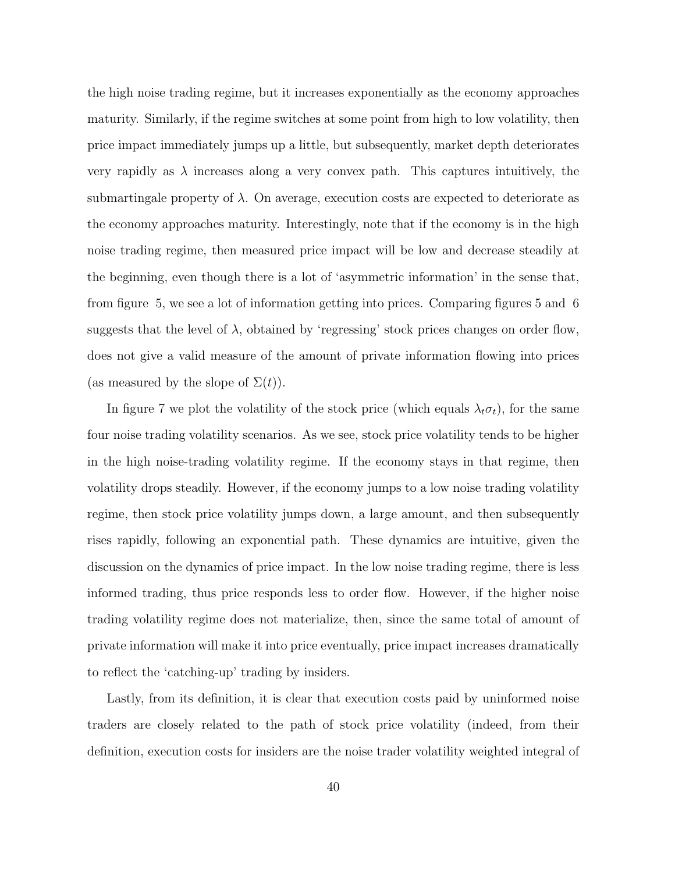the high noise trading regime, but it increases exponentially as the economy approaches maturity. Similarly, if the regime switches at some point from high to low volatility, then price impact immediately jumps up a little, but subsequently, market depth deteriorates very rapidly as  $\lambda$  increases along a very convex path. This captures intuitively, the submartingale property of  $\lambda$ . On average, execution costs are expected to deteriorate as the economy approaches maturity. Interestingly, note that if the economy is in the high noise trading regime, then measured price impact will be low and decrease steadily at the beginning, even though there is a lot of 'asymmetric information' in the sense that, from figure 5, we see a lot of information getting into prices. Comparing figures 5 and 6 suggests that the level of  $\lambda$ , obtained by 'regressing' stock prices changes on order flow, does not give a valid measure of the amount of private information flowing into prices (as measured by the slope of  $\Sigma(t)$ ).

In figure 7 we plot the volatility of the stock price (which equals  $\lambda_t \sigma_t$ ), for the same four noise trading volatility scenarios. As we see, stock price volatility tends to be higher in the high noise-trading volatility regime. If the economy stays in that regime, then volatility drops steadily. However, if the economy jumps to a low noise trading volatility regime, then stock price volatility jumps down, a large amount, and then subsequently rises rapidly, following an exponential path. These dynamics are intuitive, given the discussion on the dynamics of price impact. In the low noise trading regime, there is less informed trading, thus price responds less to order flow. However, if the higher noise trading volatility regime does not materialize, then, since the same total of amount of private information will make it into price eventually, price impact increases dramatically to reflect the 'catching-up' trading by insiders.

Lastly, from its definition, it is clear that execution costs paid by uninformed noise traders are closely related to the path of stock price volatility (indeed, from their definition, execution costs for insiders are the noise trader volatility weighted integral of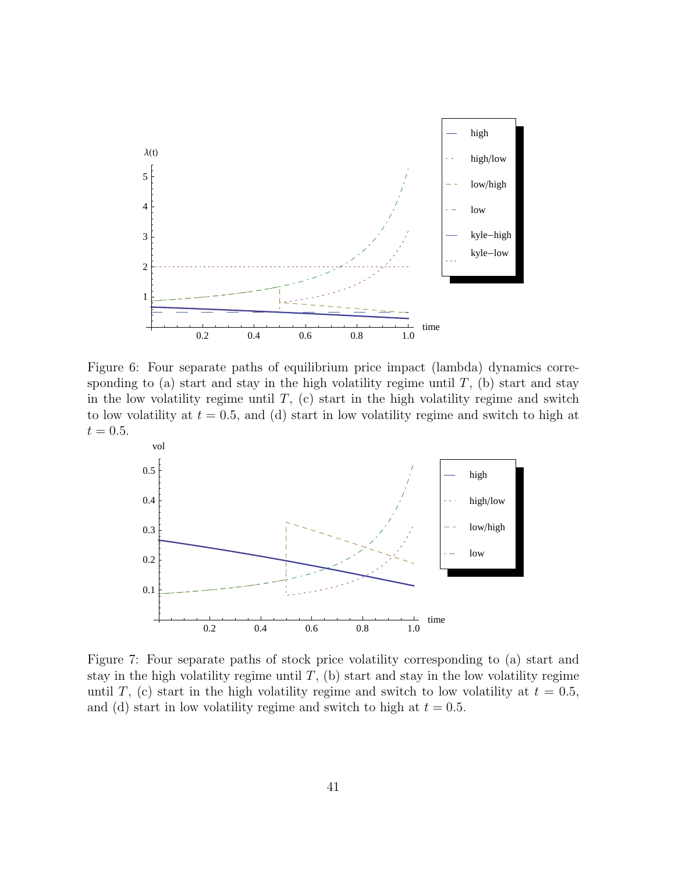

Figure 6: Four separate paths of equilibrium price impact (lambda) dynamics corresponding to (a) start and stay in the high volatility regime until  $T$ , (b) start and stay in the low volatility regime until  $T$ , (c) start in the high volatility regime and switch to low volatility at  $t = 0.5$ , and (d) start in low volatility regime and switch to high at  $t = 0.5$ .



Figure 7: Four separate paths of stock price volatility corresponding to (a) start and stay in the high volatility regime until  $T$ , (b) start and stay in the low volatility regime until T, (c) start in the high volatility regime and switch to low volatility at  $t = 0.5$ , and (d) start in low volatility regime and switch to high at  $t = 0.5$ .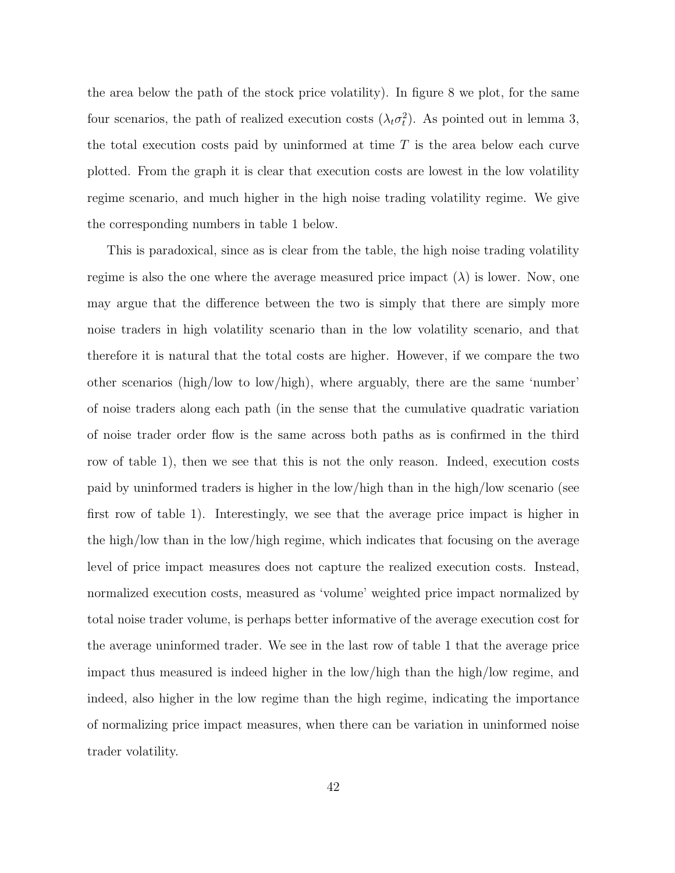the area below the path of the stock price volatility). In figure 8 we plot, for the same four scenarios, the path of realized execution costs  $(\lambda_t \sigma_t^2)$ . As pointed out in lemma 3, the total execution costs paid by uninformed at time  $T$  is the area below each curve plotted. From the graph it is clear that execution costs are lowest in the low volatility regime scenario, and much higher in the high noise trading volatility regime. We give the corresponding numbers in table 1 below.

This is paradoxical, since as is clear from the table, the high noise trading volatility regime is also the one where the average measured price impact  $(\lambda)$  is lower. Now, one may argue that the difference between the two is simply that there are simply more noise traders in high volatility scenario than in the low volatility scenario, and that therefore it is natural that the total costs are higher. However, if we compare the two other scenarios (high/low to low/high), where arguably, there are the same 'number' of noise traders along each path (in the sense that the cumulative quadratic variation of noise trader order flow is the same across both paths as is confirmed in the third row of table 1), then we see that this is not the only reason. Indeed, execution costs paid by uninformed traders is higher in the low/high than in the high/low scenario (see first row of table 1). Interestingly, we see that the average price impact is higher in the high/low than in the low/high regime, which indicates that focusing on the average level of price impact measures does not capture the realized execution costs. Instead, normalized execution costs, measured as 'volume' weighted price impact normalized by total noise trader volume, is perhaps better informative of the average execution cost for the average uninformed trader. We see in the last row of table 1 that the average price impact thus measured is indeed higher in the low/high than the high/low regime, and indeed, also higher in the low regime than the high regime, indicating the importance of normalizing price impact measures, when there can be variation in uninformed noise trader volatility.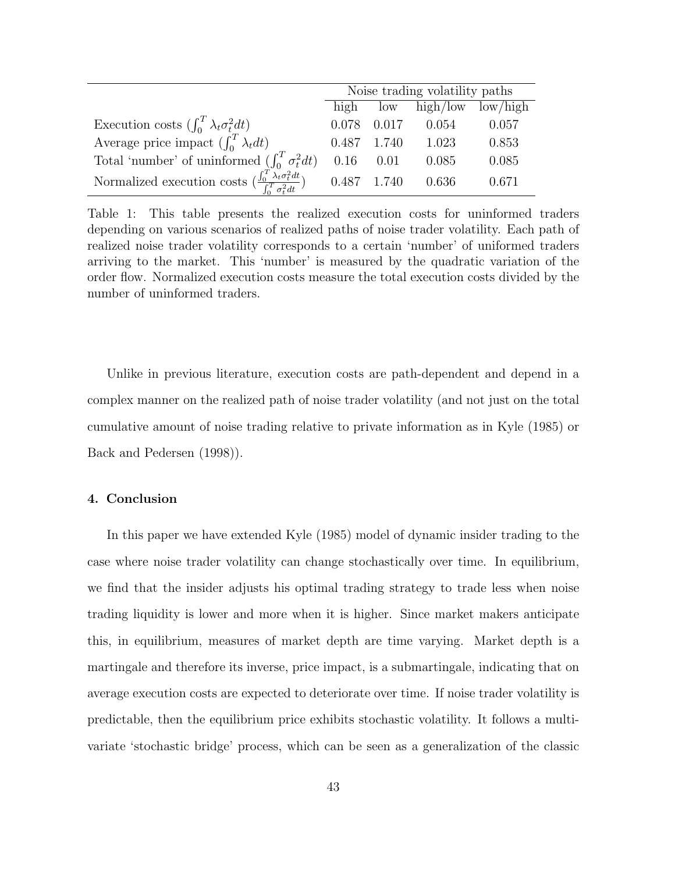|                                                                                                           | Noise trading volatility paths |             |                         |       |
|-----------------------------------------------------------------------------------------------------------|--------------------------------|-------------|-------------------------|-------|
|                                                                                                           | high                           |             | $low$ high/low low/high |       |
| Execution costs $(\int_0^T \lambda_t \sigma_t^2 dt)$                                                      | 0.078                          | 0.017       | 0.054                   | 0.057 |
| Average price impact $(\int_0^T \lambda_t dt)$                                                            |                                | 0.487 1.740 | 1.023                   | 0.853 |
| Total 'number' of uninformed $(\int_0^T \sigma_t^2 dt)$                                                   | 0.16                           | 0.01        | 0.085                   | 0.085 |
| Normalized execution costs $\left(\frac{\int_0^T \lambda_t \sigma_t^2 dt}{\int_0^T \sigma_t^2 dt}\right)$ | 0.487 1.740                    |             | 0.636                   | 0.671 |

Table 1: This table presents the realized execution costs for uninformed traders depending on various scenarios of realized paths of noise trader volatility. Each path of realized noise trader volatility corresponds to a certain 'number' of uniformed traders arriving to the market. This 'number' is measured by the quadratic variation of the order flow. Normalized execution costs measure the total execution costs divided by the number of uninformed traders.

Unlike in previous literature, execution costs are path-dependent and depend in a complex manner on the realized path of noise trader volatility (and not just on the total cumulative amount of noise trading relative to private information as in Kyle (1985) or Back and Pedersen (1998)).

# 4. Conclusion

In this paper we have extended Kyle (1985) model of dynamic insider trading to the case where noise trader volatility can change stochastically over time. In equilibrium, we find that the insider adjusts his optimal trading strategy to trade less when noise trading liquidity is lower and more when it is higher. Since market makers anticipate this, in equilibrium, measures of market depth are time varying. Market depth is a martingale and therefore its inverse, price impact, is a submartingale, indicating that on average execution costs are expected to deteriorate over time. If noise trader volatility is predictable, then the equilibrium price exhibits stochastic volatility. It follows a multivariate 'stochastic bridge' process, which can be seen as a generalization of the classic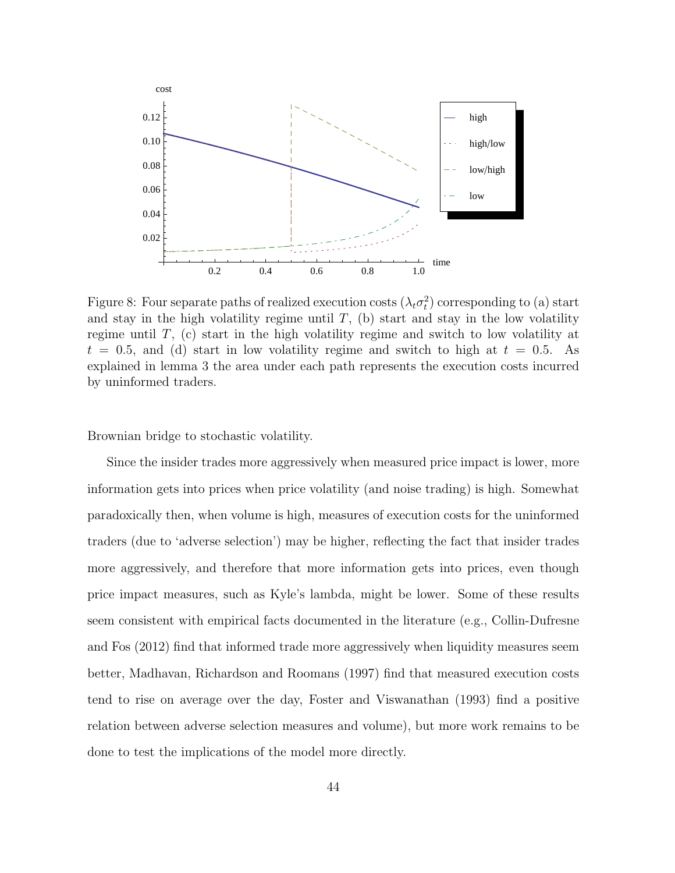

Figure 8: Four separate paths of realized execution costs  $(\lambda_t \sigma_t^2)$  corresponding to (a) start and stay in the high volatility regime until  $T$ , (b) start and stay in the low volatility regime until  $T$ , (c) start in the high volatility regime and switch to low volatility at  $t = 0.5$ , and (d) start in low volatility regime and switch to high at  $t = 0.5$ . As explained in lemma 3 the area under each path represents the execution costs incurred by uninformed traders.

Brownian bridge to stochastic volatility.

Since the insider trades more aggressively when measured price impact is lower, more information gets into prices when price volatility (and noise trading) is high. Somewhat paradoxically then, when volume is high, measures of execution costs for the uninformed traders (due to 'adverse selection') may be higher, reflecting the fact that insider trades more aggressively, and therefore that more information gets into prices, even though price impact measures, such as Kyle's lambda, might be lower. Some of these results seem consistent with empirical facts documented in the literature (e.g., Collin-Dufresne and Fos (2012) find that informed trade more aggressively when liquidity measures seem better, Madhavan, Richardson and Roomans (1997) find that measured execution costs tend to rise on average over the day, Foster and Viswanathan (1993) find a positive relation between adverse selection measures and volume), but more work remains to be done to test the implications of the model more directly.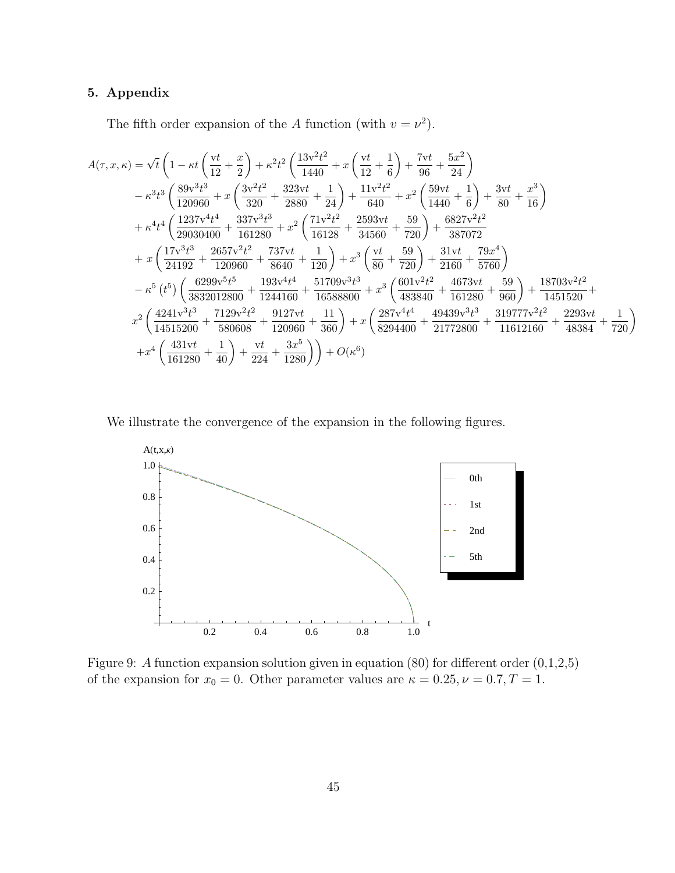# 5. Appendix

The fifth order expansion of the A function (with  $v = \nu^2$ ).

$$
A(\tau, x, \kappa) = \sqrt{t} \left( 1 - \kappa t \left( \frac{vt}{12} + \frac{x}{2} \right) + \kappa^2 t^2 \left( \frac{13v^2t^2}{1440} + x \left( \frac{vt}{12} + \frac{1}{6} \right) + \frac{7vt}{96} + \frac{5x^2}{24} \right) \right.
$$
  
\n
$$
- \kappa^3 t^3 \left( \frac{89v^3t^3}{120960} + x \left( \frac{3v^2t^2}{320} + \frac{323vt}{2880} + \frac{1}{24} \right) + \frac{11v^2t^2}{640} + x^2 \left( \frac{59vt}{1440} + \frac{1}{6} \right) + \frac{3vt}{80} + \frac{x^3}{16} \right)
$$
  
\n
$$
+ \kappa^4 t^4 \left( \frac{1237v^4t^4}{29030400} + \frac{337v^3t^3}{161280} + x^2 \left( \frac{71v^2t^2}{16128} + \frac{2593vt}{34560} + \frac{59}{720} \right) + \frac{6827v^2t^2}{387072} + x \left( \frac{17v^3t^3}{24192} + \frac{2657v^2t^2}{120960} + \frac{737vt}{8640} + \frac{1}{120} \right) + x^3 \left( \frac{vt}{80} + \frac{59}{720} \right) + \frac{31vt}{2160} + \frac{79x^4}{5760} \right)
$$
  
\n
$$
- \kappa^5 \left( t^5 \right) \left( \frac{6299v^5t^5}{3832012800} + \frac{193v^4t^4}{1244160} + \frac{51709v^3t^3}{16588800} + x^3 \left( \frac{601v^2t^2}{483840} + \frac{4673vt}{161280} + \frac{59}{960} \right) + \frac{18703v^2t^2}{1451520} + x^2 \left( \frac{4241
$$

We illustrate the convergence of the expansion in the following figures.



Figure 9: A function expansion solution given in equation  $(80)$  for different order  $(0,1,2,5)$ of the expansion for  $x_0 = 0$ . Other parameter values are  $\kappa = 0.25, \nu = 0.7, T = 1$ .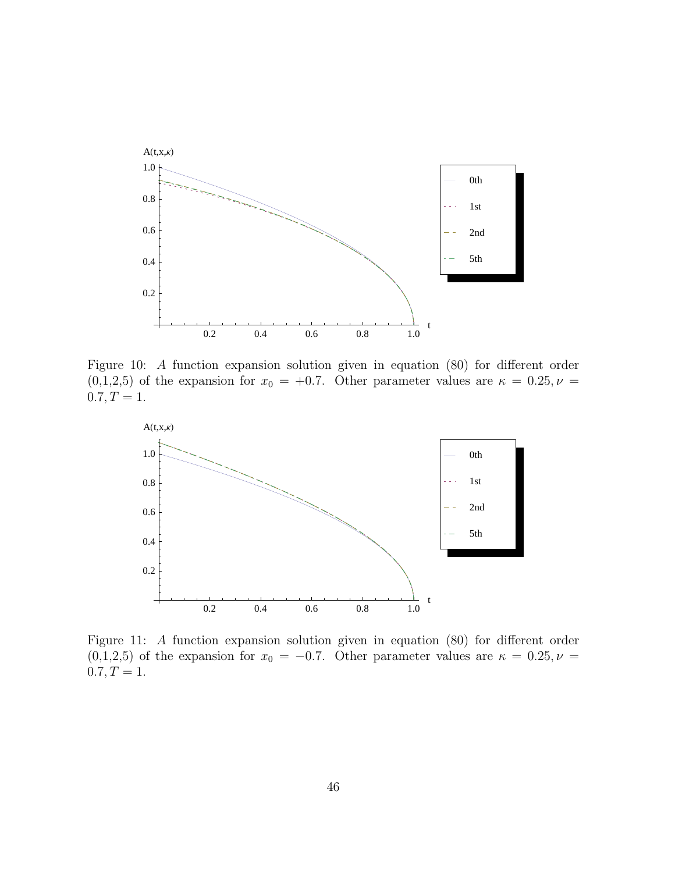

Figure 10: A function expansion solution given in equation (80) for different order  $(0,1,2,5)$  of the expansion for  $x_0 = +0.7$ . Other parameter values are  $\kappa = 0.25, \nu =$  $0.7, T = 1.$ 



Figure 11: A function expansion solution given in equation (80) for different order  $(0,1,2,5)$  of the expansion for  $x_0 = -0.7$ . Other parameter values are  $\kappa = 0.25, \nu =$  $0.7, T = 1.$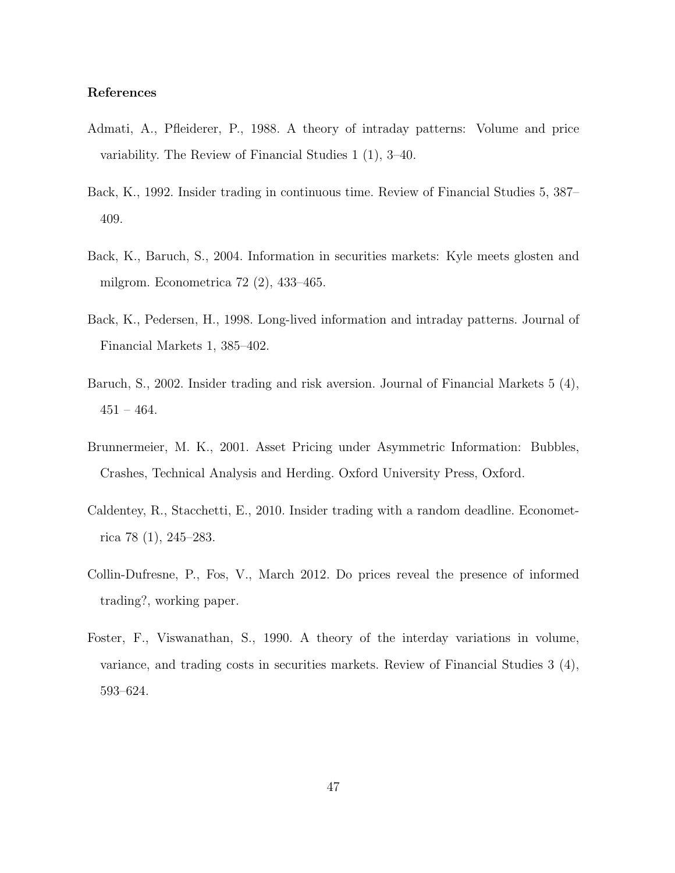# References

- Admati, A., Pfleiderer, P., 1988. A theory of intraday patterns: Volume and price variability. The Review of Financial Studies 1 (1), 3–40.
- Back, K., 1992. Insider trading in continuous time. Review of Financial Studies 5, 387– 409.
- Back, K., Baruch, S., 2004. Information in securities markets: Kyle meets glosten and milgrom. Econometrica 72 (2), 433–465.
- Back, K., Pedersen, H., 1998. Long-lived information and intraday patterns. Journal of Financial Markets 1, 385–402.
- Baruch, S., 2002. Insider trading and risk aversion. Journal of Financial Markets 5 (4),  $451 - 464.$
- Brunnermeier, M. K., 2001. Asset Pricing under Asymmetric Information: Bubbles, Crashes, Technical Analysis and Herding. Oxford University Press, Oxford.
- Caldentey, R., Stacchetti, E., 2010. Insider trading with a random deadline. Econometrica 78 (1), 245–283.
- Collin-Dufresne, P., Fos, V., March 2012. Do prices reveal the presence of informed trading?, working paper.
- Foster, F., Viswanathan, S., 1990. A theory of the interday variations in volume, variance, and trading costs in securities markets. Review of Financial Studies 3 (4), 593–624.